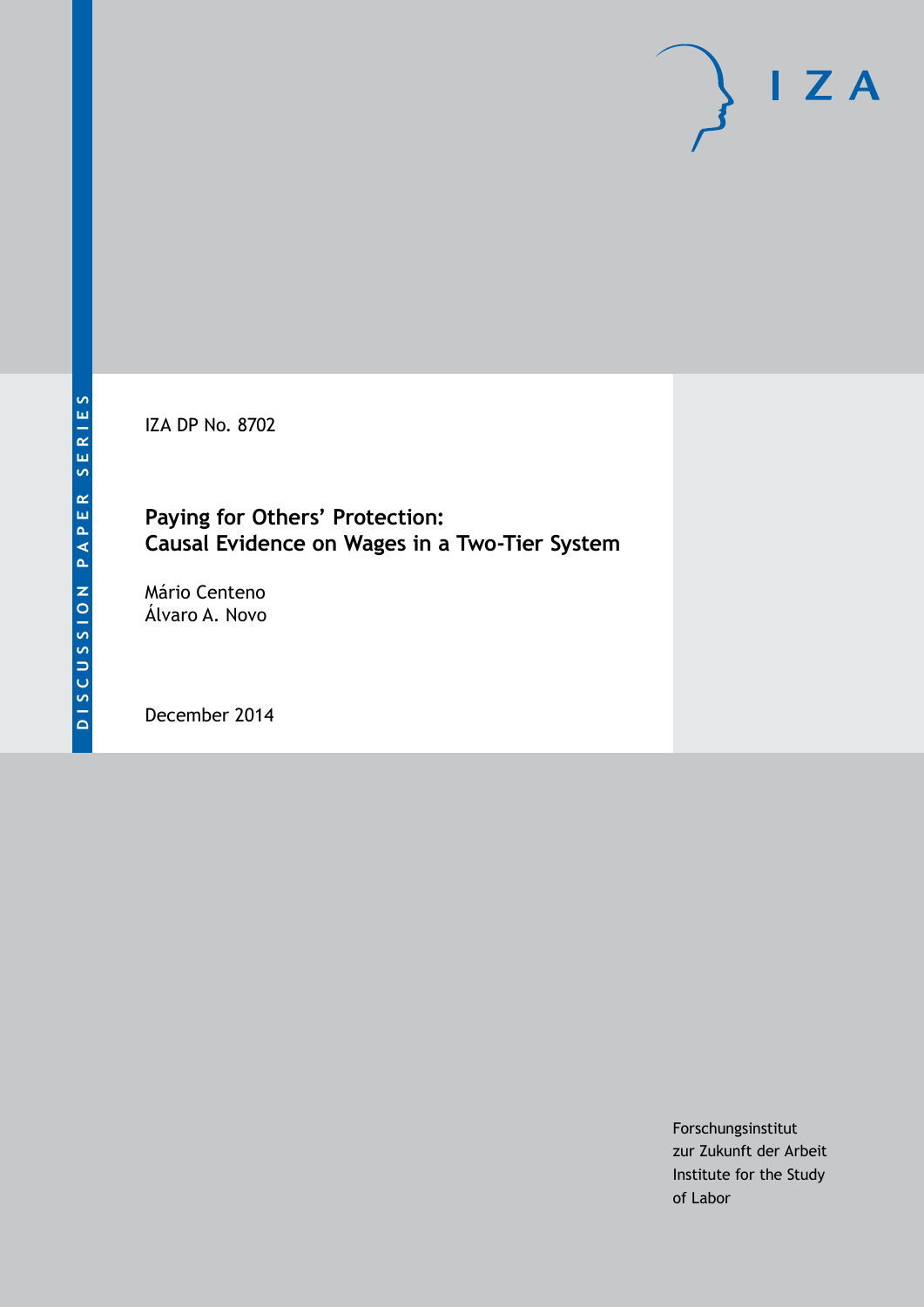IZA DP No. 8702

# **Paying for Others' Protection: Causal Evidence on Wages in a Two-Tier System**

Mário Centeno Álvaro A. Novo

December 2014

Forschungsinstitut zur Zukunft der Arbeit Institute for the Study of Labor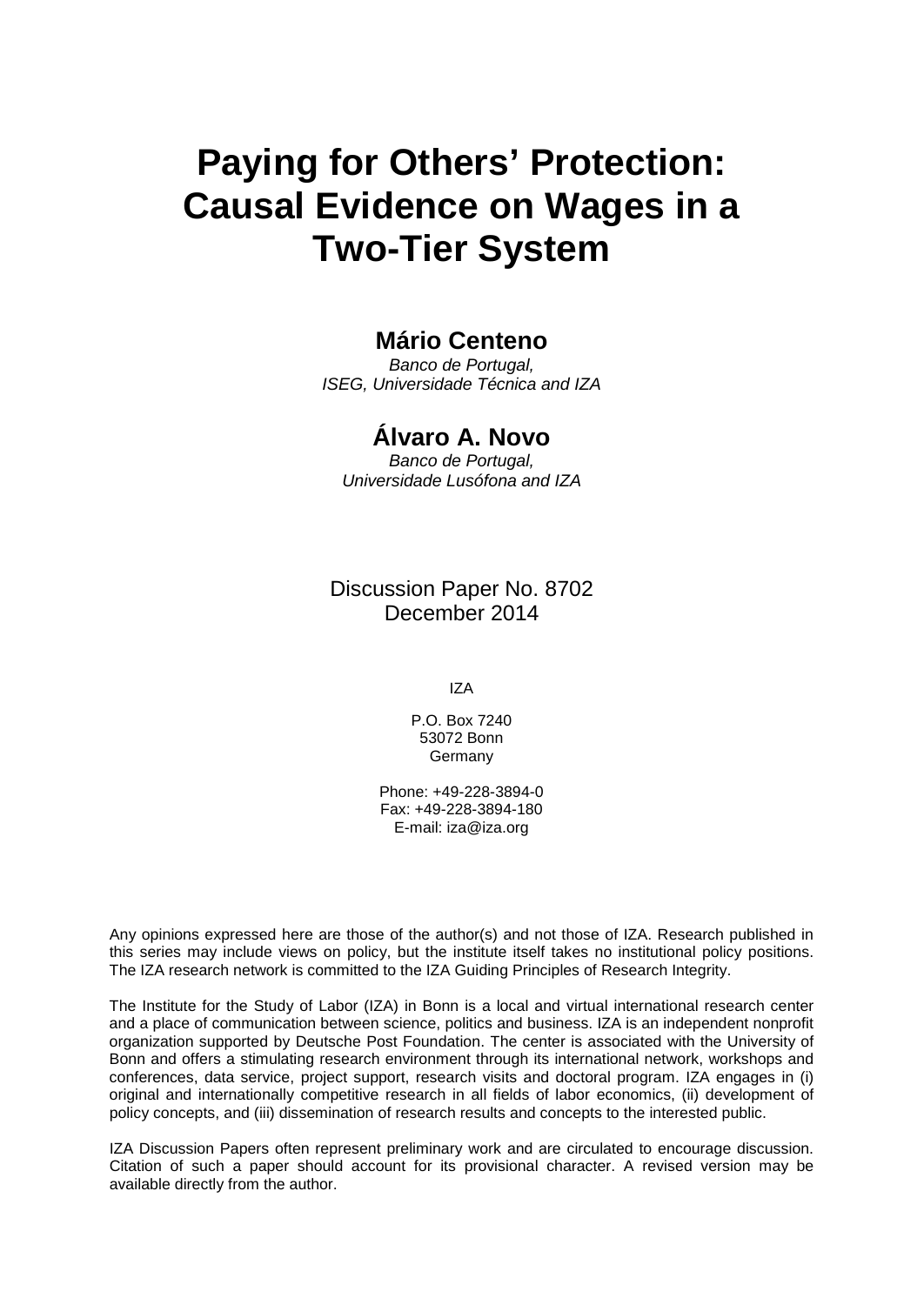# **Paying for Others' Protection: Causal Evidence on Wages in a Two-Tier System**

# **Mário Centeno**

*Banco de Portugal, ISEG, Universidade Técnica and IZA*

# **Álvaro A. Novo**

*Banco de Portugal, Universidade Lusófona and IZA*

Discussion Paper No. 8702 December 2014

IZA

P.O. Box 7240 53072 Bonn Germany

Phone: +49-228-3894-0 Fax: +49-228-3894-180 E-mail: [iza@iza.org](mailto:iza@iza.org)

Any opinions expressed here are those of the author(s) and not those of IZA. Research published in this series may include views on policy, but the institute itself takes no institutional policy positions. The IZA research network is committed to the IZA Guiding Principles of Research Integrity.

The Institute for the Study of Labor (IZA) in Bonn is a local and virtual international research center and a place of communication between science, politics and business. IZA is an independent nonprofit organization supported by Deutsche Post Foundation. The center is associated with the University of Bonn and offers a stimulating research environment through its international network, workshops and conferences, data service, project support, research visits and doctoral program. IZA engages in (i) original and internationally competitive research in all fields of labor economics, (ii) development of policy concepts, and (iii) dissemination of research results and concepts to the interested public.

<span id="page-1-0"></span>IZA Discussion Papers often represent preliminary work and are circulated to encourage discussion. Citation of such a paper should account for its provisional character. A revised version may be available directly from the author.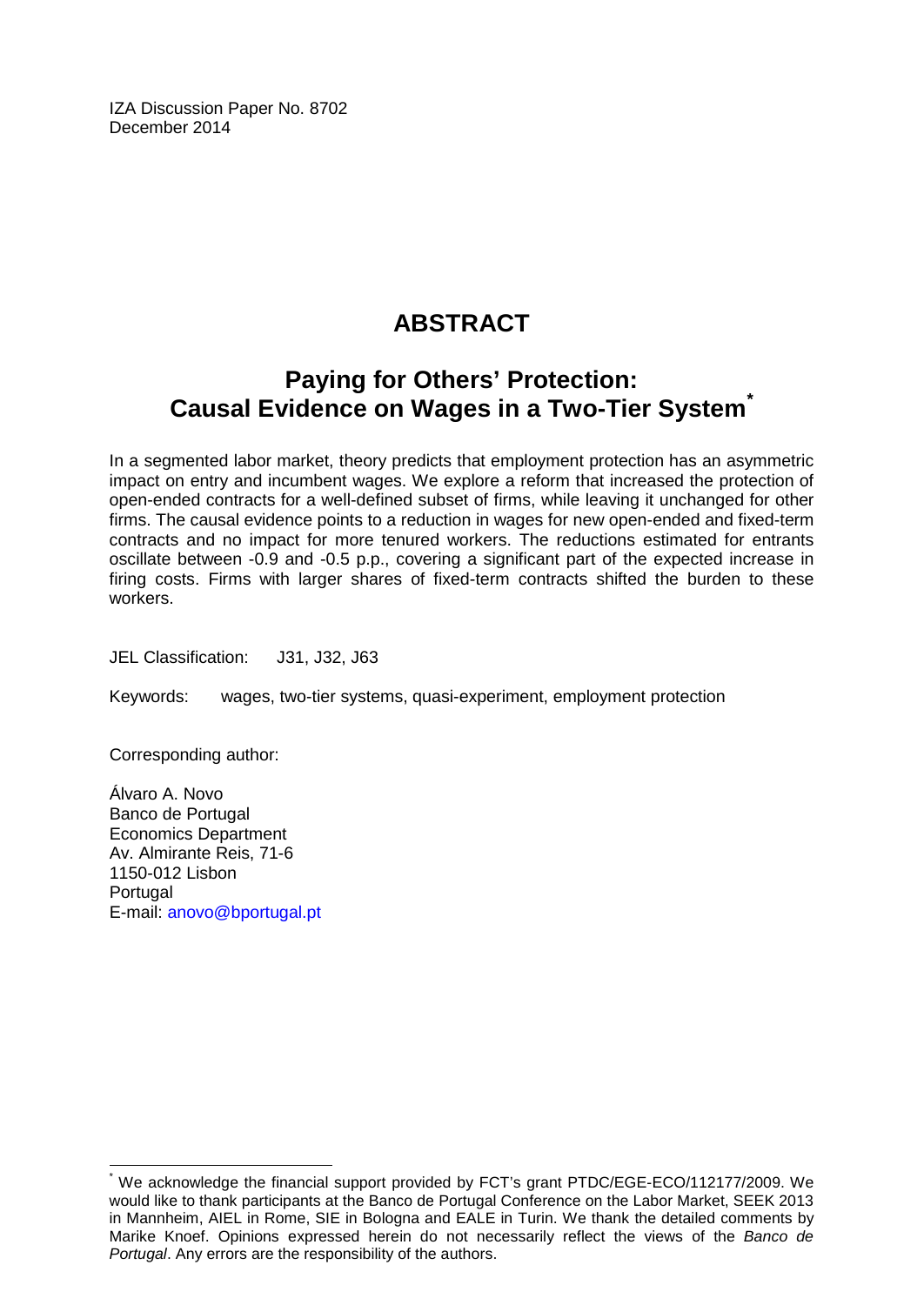IZA Discussion Paper No. 8702 December 2014

# **ABSTRACT**

# **Paying for Others' Protection: Causal Evidence on Wages in a Two-Tier System[\\*](#page-1-0)**

In a segmented labor market, theory predicts that employment protection has an asymmetric impact on entry and incumbent wages. We explore a reform that increased the protection of open-ended contracts for a well-defined subset of firms, while leaving it unchanged for other firms. The causal evidence points to a reduction in wages for new open-ended and fixed-term contracts and no impact for more tenured workers. The reductions estimated for entrants oscillate between -0.9 and -0.5 p.p., covering a significant part of the expected increase in firing costs. Firms with larger shares of fixed-term contracts shifted the burden to these workers.

JEL Classification: J31, J32, J63

Keywords: wages, two-tier systems, quasi-experiment, employment protection

Corresponding author:

Álvaro A. Novo Banco de Portugal Economics Department Av. Almirante Reis, 71-6 1150-012 Lisbon **Portugal** E-mail: [anovo@bportugal.pt](mailto:anovo@bportugal.pt)

We acknowledge the financial support provided by FCT's grant PTDC/EGE-ECO/112177/2009. We would like to thank participants at the Banco de Portugal Conference on the Labor Market, SEEK 2013 in Mannheim, AIEL in Rome, SIE in Bologna and EALE in Turin. We thank the detailed comments by Marike Knoef. Opinions expressed herein do not necessarily reflect the views of the *Banco de Portugal*. Any errors are the responsibility of the authors.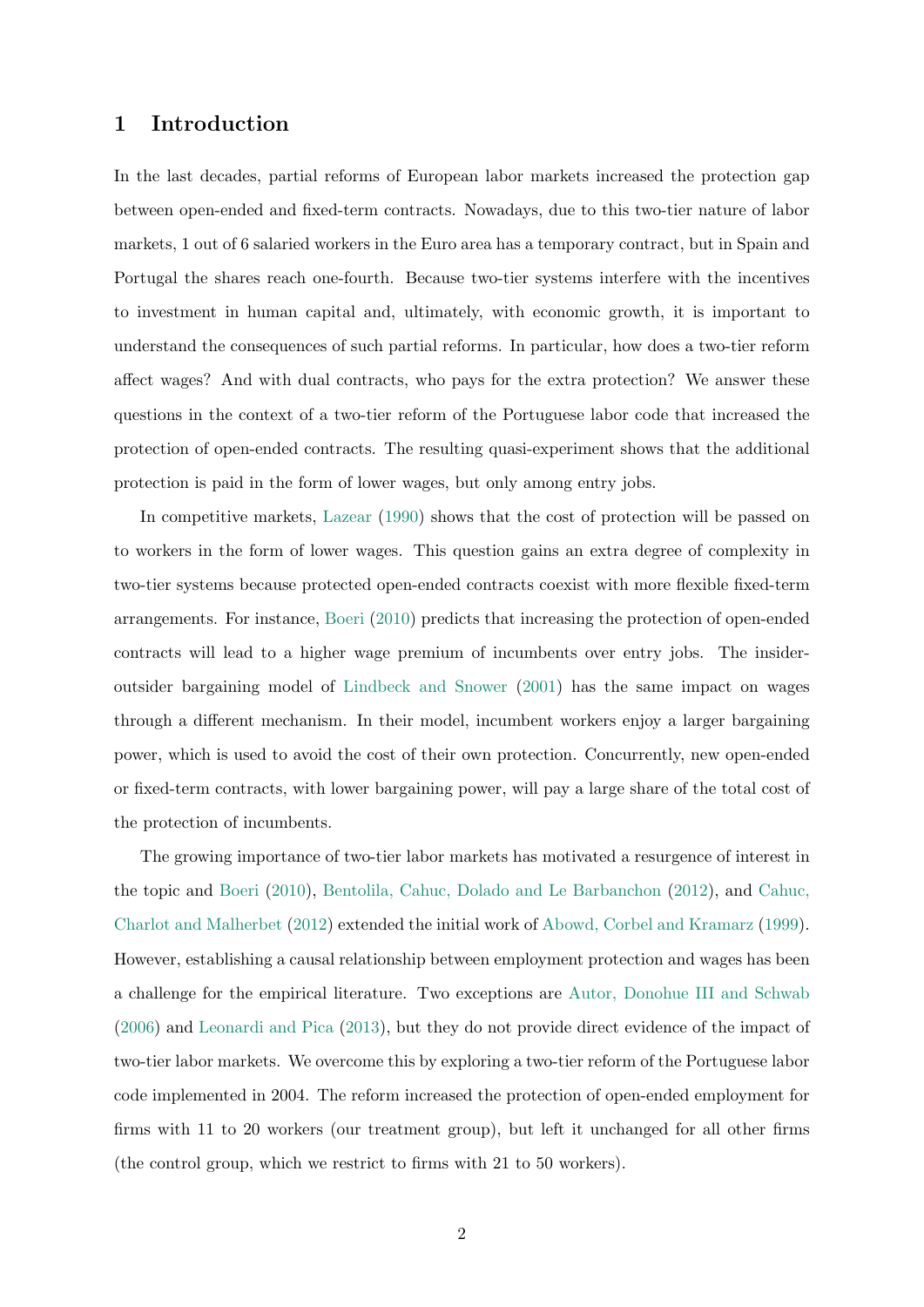# 1 Introduction

In the last decades, partial reforms of European labor markets increased the protection gap between open-ended and fixed-term contracts. Nowadays, due to this two-tier nature of labor markets, 1 out of 6 salaried workers in the Euro area has a temporary contract, but in Spain and Portugal the shares reach one-fourth. Because two-tier systems interfere with the incentives to investment in human capital and, ultimately, with economic growth, it is important to understand the consequences of such partial reforms. In particular, how does a two-tier reform affect wages? And with dual contracts, who pays for the extra protection? We answer these questions in the context of a two-tier reform of the Portuguese labor code that increased the protection of open-ended contracts. The resulting quasi-experiment shows that the additional protection is paid in the form of lower wages, but only among entry jobs.

In competitive markets, [Lazear](#page-21-0) [\(1990\)](#page-21-0) shows that the cost of protection will be passed on to workers in the form of lower wages. This question gains an extra degree of complexity in two-tier systems because protected open-ended contracts coexist with more flexible fixed-term arrangements. For instance, [Boeri](#page-20-0) [\(2010\)](#page-20-0) predicts that increasing the protection of open-ended contracts will lead to a higher wage premium of incumbents over entry jobs. The insideroutsider bargaining model of [Lindbeck and Snower](#page-21-1) [\(2001\)](#page-21-1) has the same impact on wages through a different mechanism. In their model, incumbent workers enjoy a larger bargaining power, which is used to avoid the cost of their own protection. Concurrently, new open-ended or fixed-term contracts, with lower bargaining power, will pay a large share of the total cost of the protection of incumbents.

The growing importance of two-tier labor markets has motivated a resurgence of interest in the topic and [Boeri](#page-20-0) [\(2010\)](#page-20-0), [Bentolila, Cahuc, Dolado and Le Barbanchon](#page-20-1) [\(2012\)](#page-20-1), and [Cahuc,](#page-20-2) [Charlot and Malherbet](#page-20-2) [\(2012\)](#page-20-2) extended the initial work of [Abowd, Corbel and Kramarz](#page-20-3) [\(1999\)](#page-20-3). However, establishing a causal relationship between employment protection and wages has been a challenge for the empirical literature. Two exceptions are [Autor, Donohue III and Schwab](#page-20-4) [\(2006\)](#page-20-4) and [Leonardi and Pica](#page-21-2) [\(2013\)](#page-21-2), but they do not provide direct evidence of the impact of two-tier labor markets. We overcome this by exploring a two-tier reform of the Portuguese labor code implemented in 2004. The reform increased the protection of open-ended employment for firms with 11 to 20 workers (our treatment group), but left it unchanged for all other firms (the control group, which we restrict to firms with 21 to 50 workers).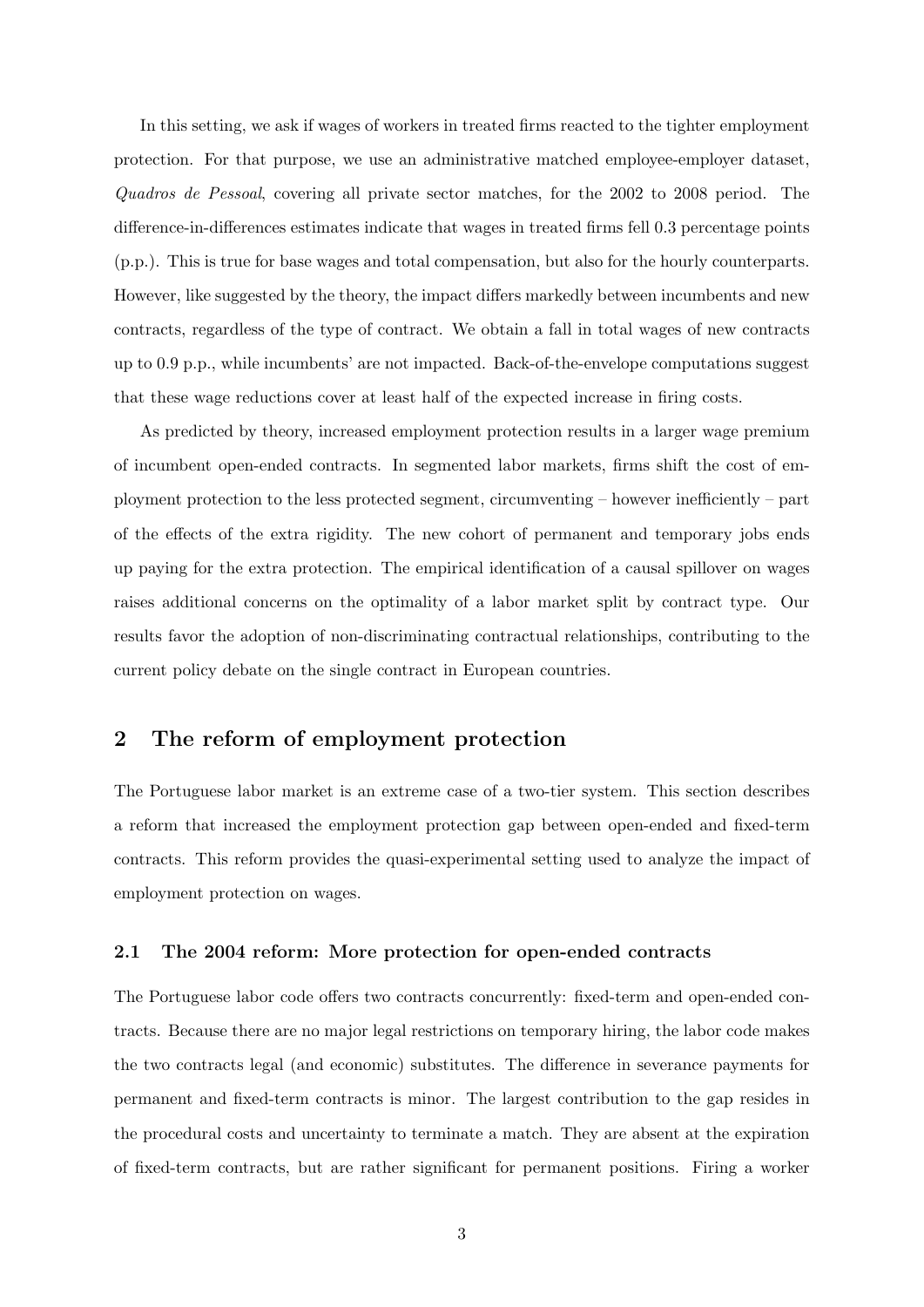In this setting, we ask if wages of workers in treated firms reacted to the tighter employment protection. For that purpose, we use an administrative matched employee-employer dataset, Quadros de Pessoal, covering all private sector matches, for the 2002 to 2008 period. The difference-in-differences estimates indicate that wages in treated firms fell 0.3 percentage points (p.p.). This is true for base wages and total compensation, but also for the hourly counterparts. However, like suggested by the theory, the impact differs markedly between incumbents and new contracts, regardless of the type of contract. We obtain a fall in total wages of new contracts up to 0.9 p.p., while incumbents' are not impacted. Back-of-the-envelope computations suggest that these wage reductions cover at least half of the expected increase in firing costs.

As predicted by theory, increased employment protection results in a larger wage premium of incumbent open-ended contracts. In segmented labor markets, firms shift the cost of employment protection to the less protected segment, circumventing – however inefficiently – part of the effects of the extra rigidity. The new cohort of permanent and temporary jobs ends up paying for the extra protection. The empirical identification of a causal spillover on wages raises additional concerns on the optimality of a labor market split by contract type. Our results favor the adoption of non-discriminating contractual relationships, contributing to the current policy debate on the single contract in European countries.

# <span id="page-4-0"></span>2 The reform of employment protection

The Portuguese labor market is an extreme case of a two-tier system. This section describes a reform that increased the employment protection gap between open-ended and fixed-term contracts. This reform provides the quasi-experimental setting used to analyze the impact of employment protection on wages.

# 2.1 The 2004 reform: More protection for open-ended contracts

The Portuguese labor code offers two contracts concurrently: fixed-term and open-ended contracts. Because there are no major legal restrictions on temporary hiring, the labor code makes the two contracts legal (and economic) substitutes. The difference in severance payments for permanent and fixed-term contracts is minor. The largest contribution to the gap resides in the procedural costs and uncertainty to terminate a match. They are absent at the expiration of fixed-term contracts, but are rather significant for permanent positions. Firing a worker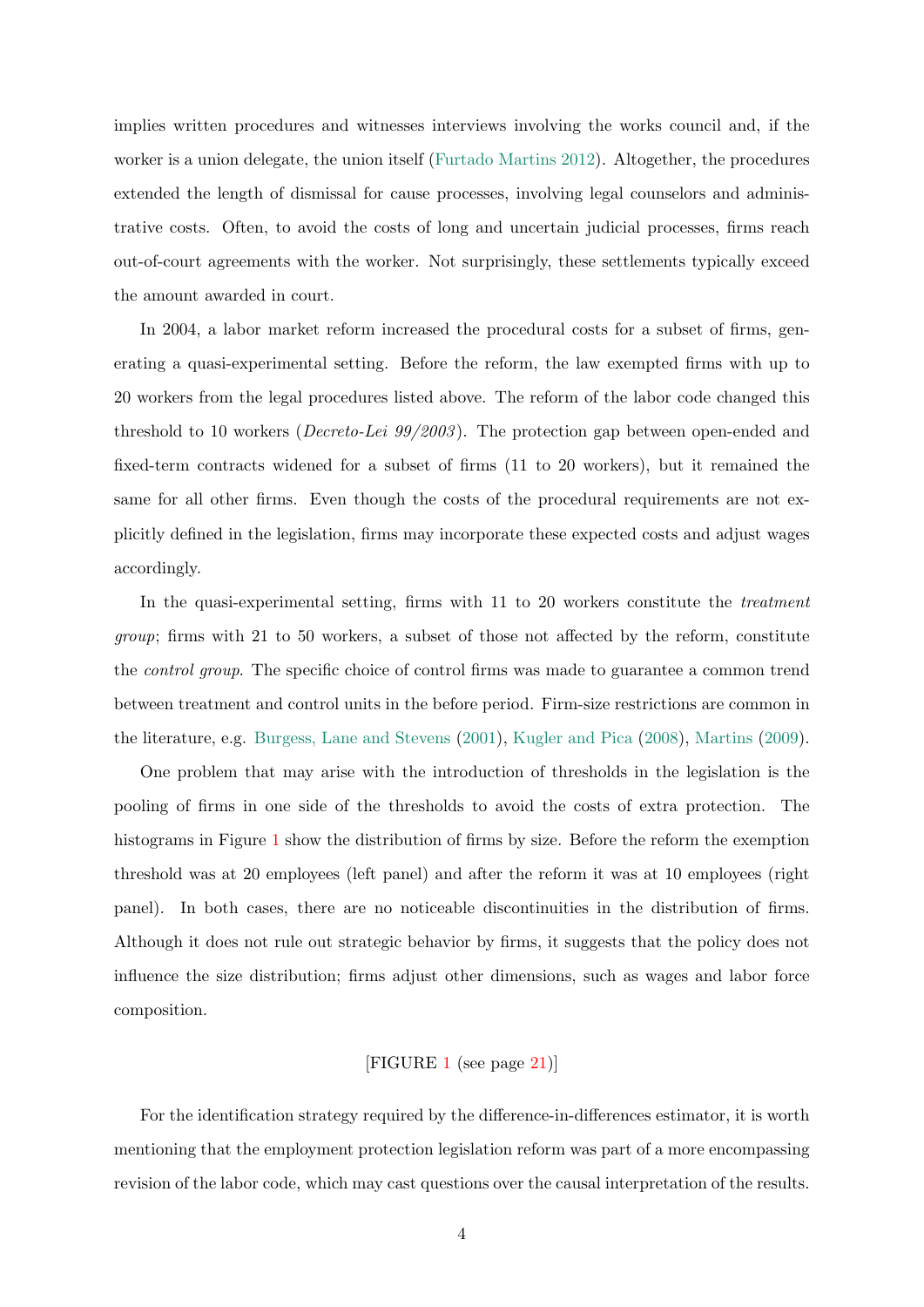implies written procedures and witnesses interviews involving the works council and, if the worker is a union delegate, the union itself [\(Furtado Martins](#page-21-3) [2012\)](#page-21-3). Altogether, the procedures extended the length of dismissal for cause processes, involving legal counselors and administrative costs. Often, to avoid the costs of long and uncertain judicial processes, firms reach out-of-court agreements with the worker. Not surprisingly, these settlements typically exceed the amount awarded in court.

In 2004, a labor market reform increased the procedural costs for a subset of firms, generating a quasi-experimental setting. Before the reform, the law exempted firms with up to 20 workers from the legal procedures listed above. The reform of the labor code changed this threshold to 10 workers (*Decreto-Lei 99/2003*). The protection gap between open-ended and fixed-term contracts widened for a subset of firms (11 to 20 workers), but it remained the same for all other firms. Even though the costs of the procedural requirements are not explicitly defined in the legislation, firms may incorporate these expected costs and adjust wages accordingly.

In the quasi-experimental setting, firms with 11 to 20 workers constitute the *treatment* group; firms with 21 to 50 workers, a subset of those not affected by the reform, constitute the *control group*. The specific choice of control firms was made to guarantee a common trend between treatment and control units in the before period. Firm-size restrictions are common in the literature, e.g. [Burgess, Lane and Stevens](#page-20-5) [\(2001\)](#page-20-5), [Kugler and Pica](#page-21-4) [\(2008\)](#page-21-4), [Martins](#page-21-5) [\(2009\)](#page-21-5).

One problem that may arise with the introduction of thresholds in the legislation is the pooling of firms in one side of the thresholds to avoid the costs of extra protection. The histograms in Figure [1](#page-22-0) show the distribution of firms by size. Before the reform the exemption threshold was at 20 employees (left panel) and after the reform it was at 10 employees (right panel). In both cases, there are no noticeable discontinuities in the distribution of firms. Although it does not rule out strategic behavior by firms, it suggests that the policy does not influence the size distribution; firms adjust other dimensions, such as wages and labor force composition.

### [FIGURE [1](#page-22-0) (see page [21\)](#page-22-0)]

For the identification strategy required by the difference-in-differences estimator, it is worth mentioning that the employment protection legislation reform was part of a more encompassing revision of the labor code, which may cast questions over the causal interpretation of the results.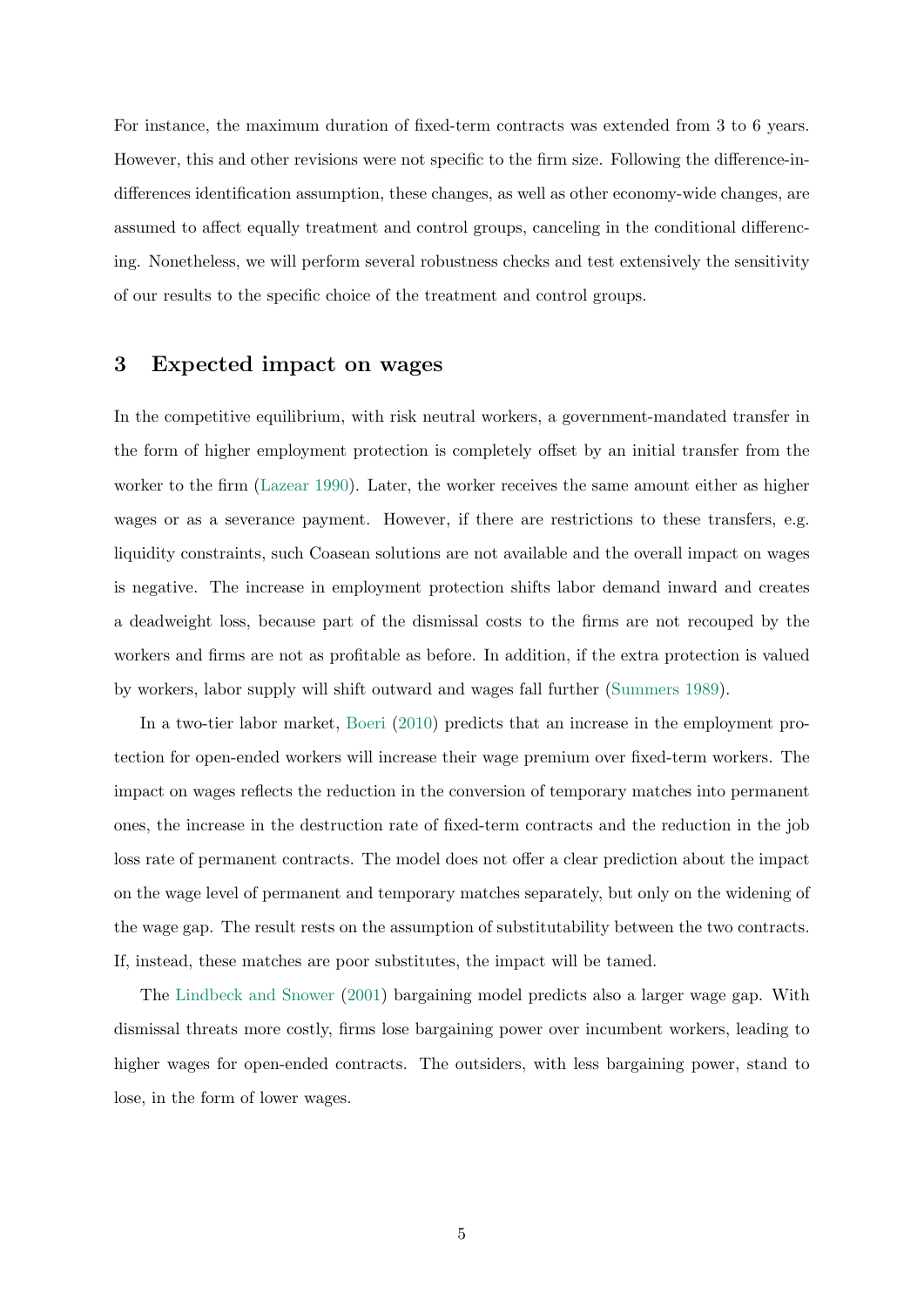For instance, the maximum duration of fixed-term contracts was extended from 3 to 6 years. However, this and other revisions were not specific to the firm size. Following the difference-indifferences identification assumption, these changes, as well as other economy-wide changes, are assumed to affect equally treatment and control groups, canceling in the conditional differencing. Nonetheless, we will perform several robustness checks and test extensively the sensitivity of our results to the specific choice of the treatment and control groups.

# 3 Expected impact on wages

In the competitive equilibrium, with risk neutral workers, a government-mandated transfer in the form of higher employment protection is completely offset by an initial transfer from the worker to the firm [\(Lazear](#page-21-0) [1990\)](#page-21-0). Later, the worker receives the same amount either as higher wages or as a severance payment. However, if there are restrictions to these transfers, e.g. liquidity constraints, such Coasean solutions are not available and the overall impact on wages is negative. The increase in employment protection shifts labor demand inward and creates a deadweight loss, because part of the dismissal costs to the firms are not recouped by the workers and firms are not as profitable as before. In addition, if the extra protection is valued by workers, labor supply will shift outward and wages fall further [\(Summers](#page-21-6) [1989\)](#page-21-6).

In a two-tier labor market, [Boeri](#page-20-0) [\(2010\)](#page-20-0) predicts that an increase in the employment protection for open-ended workers will increase their wage premium over fixed-term workers. The impact on wages reflects the reduction in the conversion of temporary matches into permanent ones, the increase in the destruction rate of fixed-term contracts and the reduction in the job loss rate of permanent contracts. The model does not offer a clear prediction about the impact on the wage level of permanent and temporary matches separately, but only on the widening of the wage gap. The result rests on the assumption of substitutability between the two contracts. If, instead, these matches are poor substitutes, the impact will be tamed.

The [Lindbeck and Snower](#page-21-1) [\(2001\)](#page-21-1) bargaining model predicts also a larger wage gap. With dismissal threats more costly, firms lose bargaining power over incumbent workers, leading to higher wages for open-ended contracts. The outsiders, with less bargaining power, stand to lose, in the form of lower wages.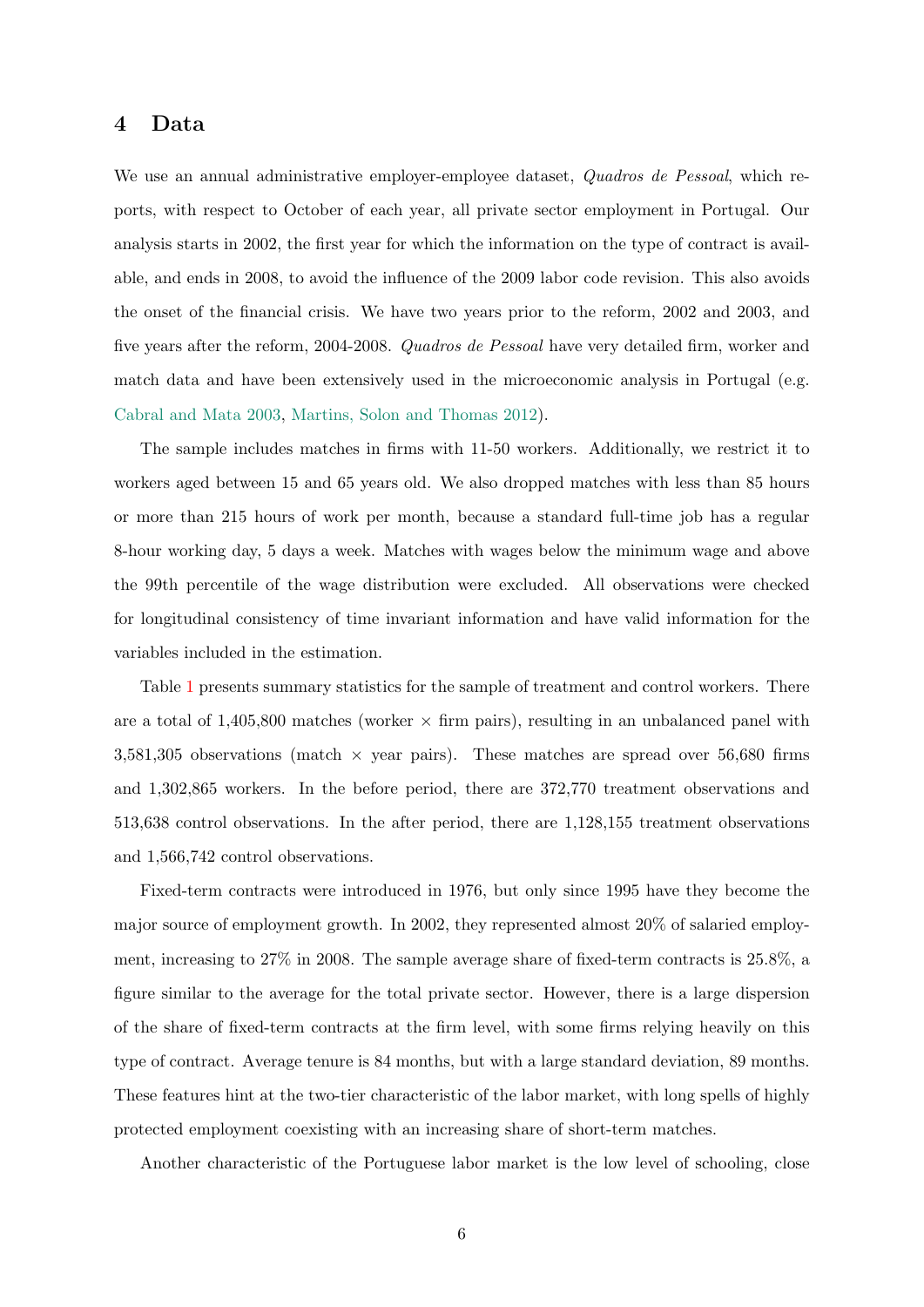# 4 Data

We use an annual administrative employer-employee dataset, *Quadros de Pessoal*, which reports, with respect to October of each year, all private sector employment in Portugal. Our analysis starts in 2002, the first year for which the information on the type of contract is available, and ends in 2008, to avoid the influence of the 2009 labor code revision. This also avoids the onset of the financial crisis. We have two years prior to the reform, 2002 and 2003, and five years after the reform, 2004-2008. Quadros de Pessoal have very detailed firm, worker and match data and have been extensively used in the microeconomic analysis in Portugal (e.g. [Cabral and Mata](#page-20-6) [2003,](#page-20-6) [Martins, Solon and Thomas](#page-21-7) [2012\)](#page-21-7).

The sample includes matches in firms with 11-50 workers. Additionally, we restrict it to workers aged between 15 and 65 years old. We also dropped matches with less than 85 hours or more than 215 hours of work per month, because a standard full-time job has a regular 8-hour working day, 5 days a week. Matches with wages below the minimum wage and above the 99th percentile of the wage distribution were excluded. All observations were checked for longitudinal consistency of time invariant information and have valid information for the variables included in the estimation.

Table [1](#page-23-0) presents summary statistics for the sample of treatment and control workers. There are a total of  $1,405,800$  matches (worker  $\times$  firm pairs), resulting in an unbalanced panel with 3,581,305 observations (match  $\times$  year pairs). These matches are spread over 56,680 firms and 1,302,865 workers. In the before period, there are 372,770 treatment observations and 513,638 control observations. In the after period, there are 1,128,155 treatment observations and 1,566,742 control observations.

Fixed-term contracts were introduced in 1976, but only since 1995 have they become the major source of employment growth. In 2002, they represented almost 20% of salaried employment, increasing to 27% in 2008. The sample average share of fixed-term contracts is 25.8%, a figure similar to the average for the total private sector. However, there is a large dispersion of the share of fixed-term contracts at the firm level, with some firms relying heavily on this type of contract. Average tenure is 84 months, but with a large standard deviation, 89 months. These features hint at the two-tier characteristic of the labor market, with long spells of highly protected employment coexisting with an increasing share of short-term matches.

Another characteristic of the Portuguese labor market is the low level of schooling, close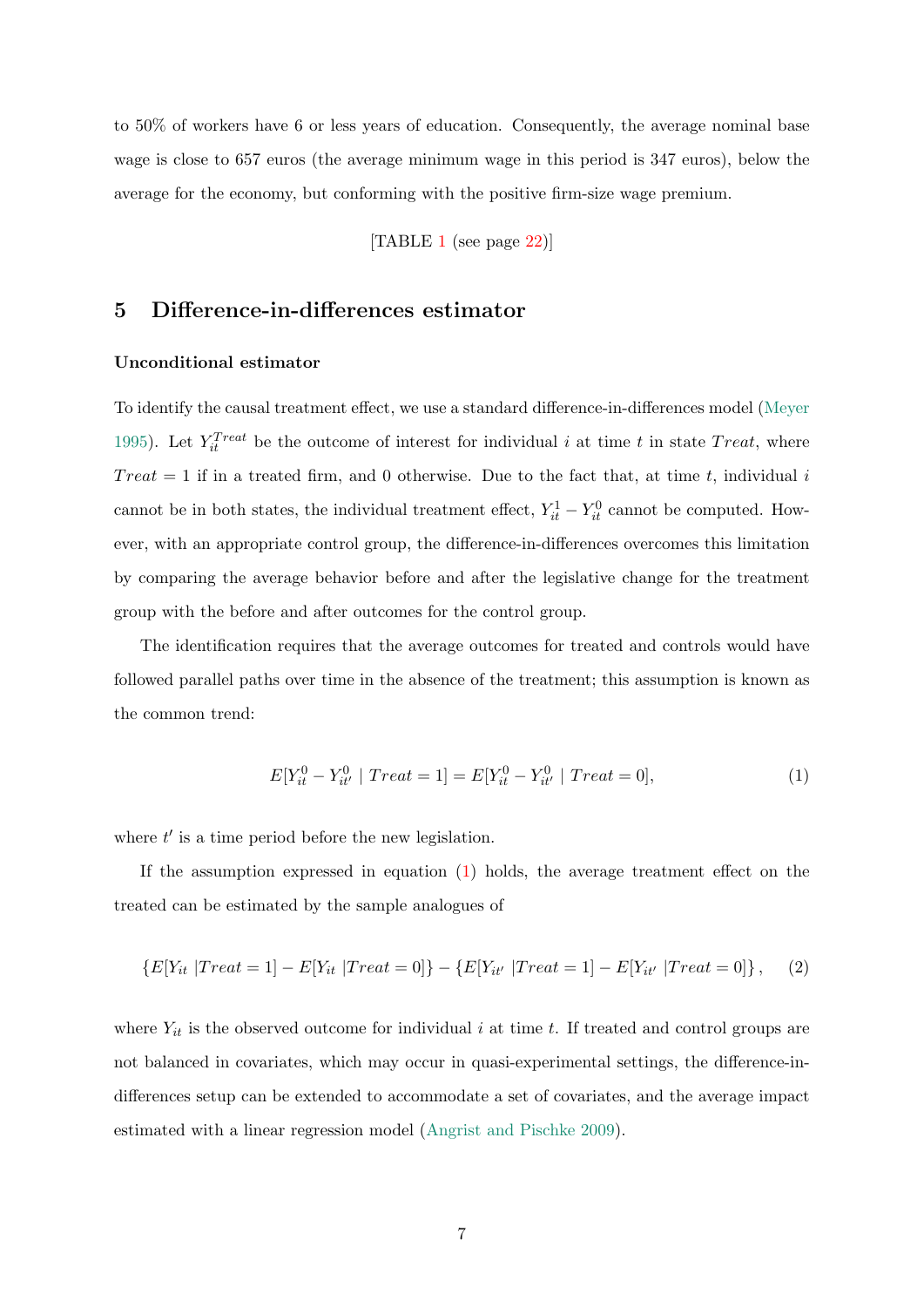to 50% of workers have 6 or less years of education. Consequently, the average nominal base wage is close to 657 euros (the average minimum wage in this period is 347 euros), below the average for the economy, but conforming with the positive firm-size wage premium.

[TABLE [1](#page-23-0) (see page [22\)](#page-23-0)]

# 5 Difference-in-differences estimator

### Unconditional estimator

To identify the causal treatment effect, we use a standard difference-in-differences model [\(Meyer](#page-21-8) [1995\)](#page-21-8). Let  $Y_{it}^{Treat}$  be the outcome of interest for individual i at time t in state  $Treat$ , where  $Treat = 1$  if in a treated firm, and 0 otherwise. Due to the fact that, at time t, individual i cannot be in both states, the individual treatment effect,  $Y_{it}^1 - Y_{it}^0$  cannot be computed. However, with an appropriate control group, the difference-in-differences overcomes this limitation by comparing the average behavior before and after the legislative change for the treatment group with the before and after outcomes for the control group.

The identification requires that the average outcomes for treated and controls would have followed parallel paths over time in the absence of the treatment; this assumption is known as the common trend:

<span id="page-8-0"></span>
$$
E[Y_{it}^0 - Y_{it'}^0 \mid Treat = 1] = E[Y_{it}^0 - Y_{it'}^0 \mid Treat = 0],
$$
\n(1)

where  $t'$  is a time period before the new legislation.

If the assumption expressed in equation [\(1\)](#page-8-0) holds, the average treatment effect on the treated can be estimated by the sample analogues of

$$
\{E[Y_{it} | Treat = 1] - E[Y_{it} | Treat = 0]\} - \{E[Y_{it'} | Treat = 1] - E[Y_{it'} | Treat = 0]\}, \quad (2)
$$

where  $Y_{it}$  is the observed outcome for individual i at time t. If treated and control groups are not balanced in covariates, which may occur in quasi-experimental settings, the difference-indifferences setup can be extended to accommodate a set of covariates, and the average impact estimated with a linear regression model [\(Angrist and Pischke](#page-20-7) [2009\)](#page-20-7).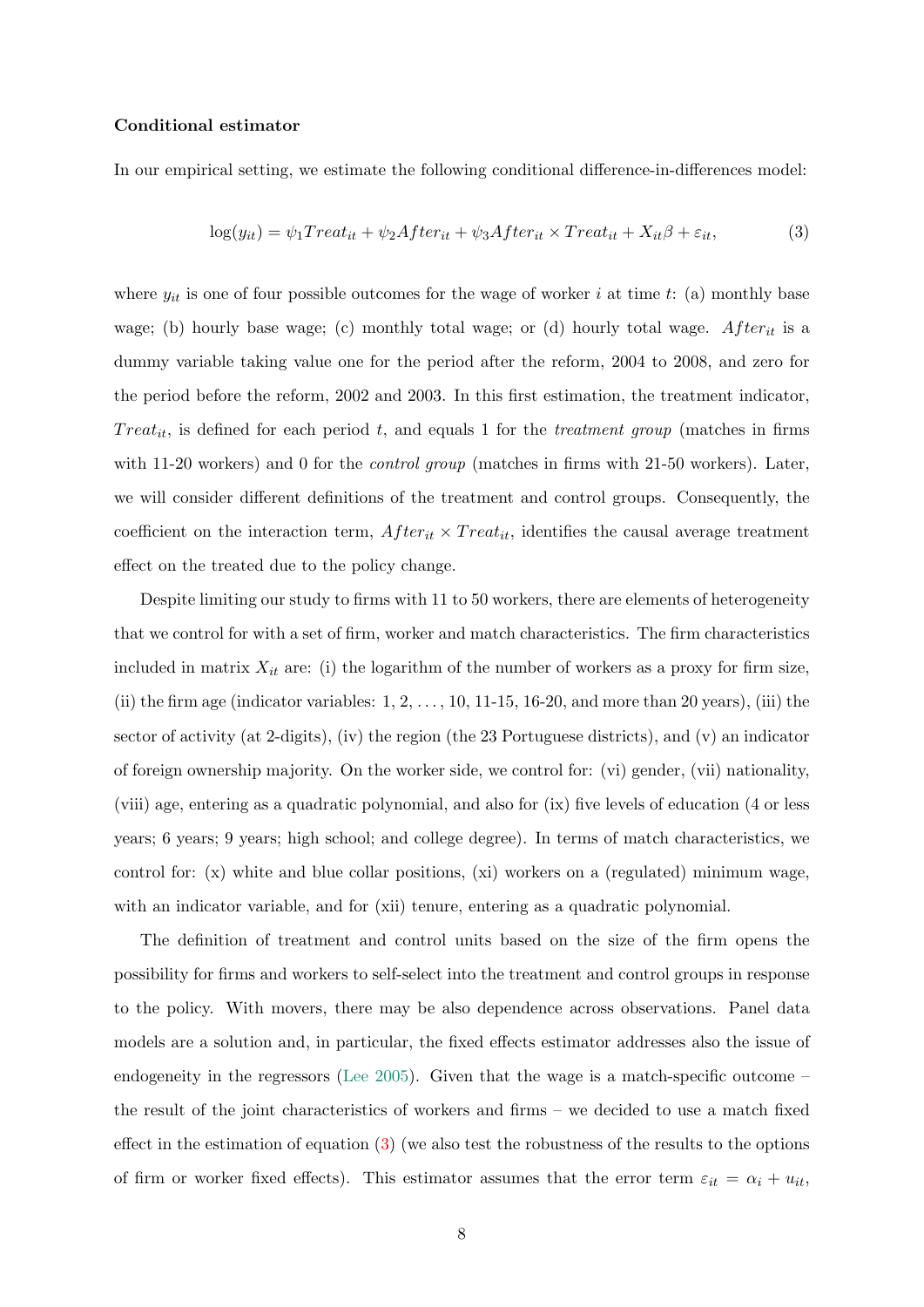### Conditional estimator

In our empirical setting, we estimate the following conditional difference-in-differences model:

<span id="page-9-0"></span>
$$
log(y_{it}) = \psi_1 Treat_{it} + \psi_2 After_{it} + \psi_3 After_{it} \times Treat_{it} + X_{it}\beta + \varepsilon_{it},
$$
\n(3)

where  $y_{it}$  is one of four possible outcomes for the wage of worker i at time t: (a) monthly base wage; (b) hourly base wage; (c) monthly total wage; or (d) hourly total wage. After<sub>it</sub> is a dummy variable taking value one for the period after the reform, 2004 to 2008, and zero for the period before the reform, 2002 and 2003. In this first estimation, the treatment indicator,  $Treat_{it}$ , is defined for each period t, and equals 1 for the treatment group (matches in firms with 11-20 workers) and 0 for the *control group* (matches in firms with 21-50 workers). Later, we will consider different definitions of the treatment and control groups. Consequently, the coefficient on the interaction term,  $After_{it} \times Treat_{it}$ , identifies the causal average treatment effect on the treated due to the policy change.

Despite limiting our study to firms with 11 to 50 workers, there are elements of heterogeneity that we control for with a set of firm, worker and match characteristics. The firm characteristics included in matrix  $X_{it}$  are: (i) the logarithm of the number of workers as a proxy for firm size, (ii) the firm age (indicator variables:  $1, 2, \ldots, 10, 11$ -15, 16-20, and more than 20 years), (iii) the sector of activity (at 2-digits), (iv) the region (the 23 Portuguese districts), and (v) an indicator of foreign ownership majority. On the worker side, we control for: (vi) gender, (vii) nationality, (viii) age, entering as a quadratic polynomial, and also for (ix) five levels of education (4 or less years; 6 years; 9 years; high school; and college degree). In terms of match characteristics, we control for: (x) white and blue collar positions, (xi) workers on a (regulated) minimum wage, with an indicator variable, and for (xii) tenure, entering as a quadratic polynomial.

The definition of treatment and control units based on the size of the firm opens the possibility for firms and workers to self-select into the treatment and control groups in response to the policy. With movers, there may be also dependence across observations. Panel data models are a solution and, in particular, the fixed effects estimator addresses also the issue of endogeneity in the regressors [\(Lee](#page-21-9) [2005\)](#page-21-9). Given that the wage is a match-specific outcome – the result of the joint characteristics of workers and firms – we decided to use a match fixed effect in the estimation of equation  $(3)$  (we also test the robustness of the results to the options of firm or worker fixed effects). This estimator assumes that the error term  $\varepsilon_{it} = \alpha_i + u_{it}$ ,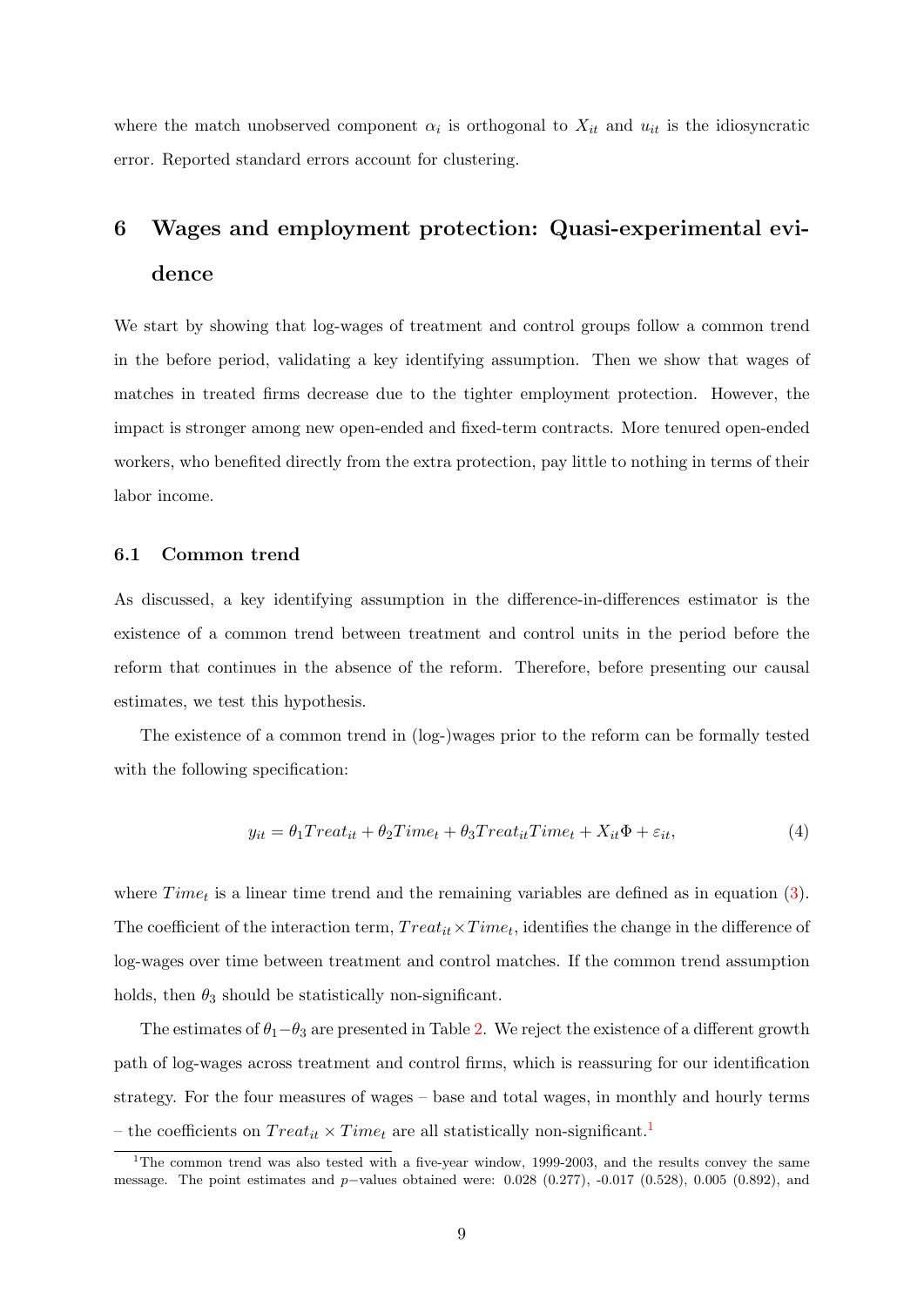where the match unobserved component  $\alpha_i$  is orthogonal to  $X_{it}$  and  $u_{it}$  is the idiosyncratic error. Reported standard errors account for clustering.

# 6 Wages and employment protection: Quasi-experimental evidence

We start by showing that log-wages of treatment and control groups follow a common trend in the before period, validating a key identifying assumption. Then we show that wages of matches in treated firms decrease due to the tighter employment protection. However, the impact is stronger among new open-ended and fixed-term contracts. More tenured open-ended workers, who benefited directly from the extra protection, pay little to nothing in terms of their labor income.

### 6.1 Common trend

As discussed, a key identifying assumption in the difference-in-differences estimator is the existence of a common trend between treatment and control units in the period before the reform that continues in the absence of the reform. Therefore, before presenting our causal estimates, we test this hypothesis.

The existence of a common trend in (log-)wages prior to the reform can be formally tested with the following specification:

<span id="page-10-1"></span>
$$
y_{it} = \theta_1 Treat_{it} + \theta_2 Time_t + \theta_3 Treat_{it} Time_t + X_{it} \Phi + \varepsilon_{it}, \tag{4}
$$

where  $Time<sub>t</sub>$  is a linear time trend and the remaining variables are defined as in equation [\(3\)](#page-9-0). The coefficient of the interaction term,  $Treat_{it} \times Time_t$ , identifies the change in the difference of log-wages over time between treatment and control matches. If the common trend assumption holds, then  $\theta_3$  should be statistically non-significant.

The estimates of  $\theta_1-\theta_3$  are presented in Table [2.](#page-24-0) We reject the existence of a different growth path of log-wages across treatment and control firms, which is reassuring for our identification strategy. For the four measures of wages – base and total wages, in monthly and hourly terms – the coefficients on  $Treat_{it} \times Time_t$  are all statistically non-significant.<sup>[1](#page-10-0)</sup>

<span id="page-10-0"></span><sup>&</sup>lt;sup>1</sup>The common trend was also tested with a five-year window, 1999-2003, and the results convey the same message. The point estimates and p−values obtained were:  $0.028$  (0.277), -0.017 (0.528), 0.005 (0.892), and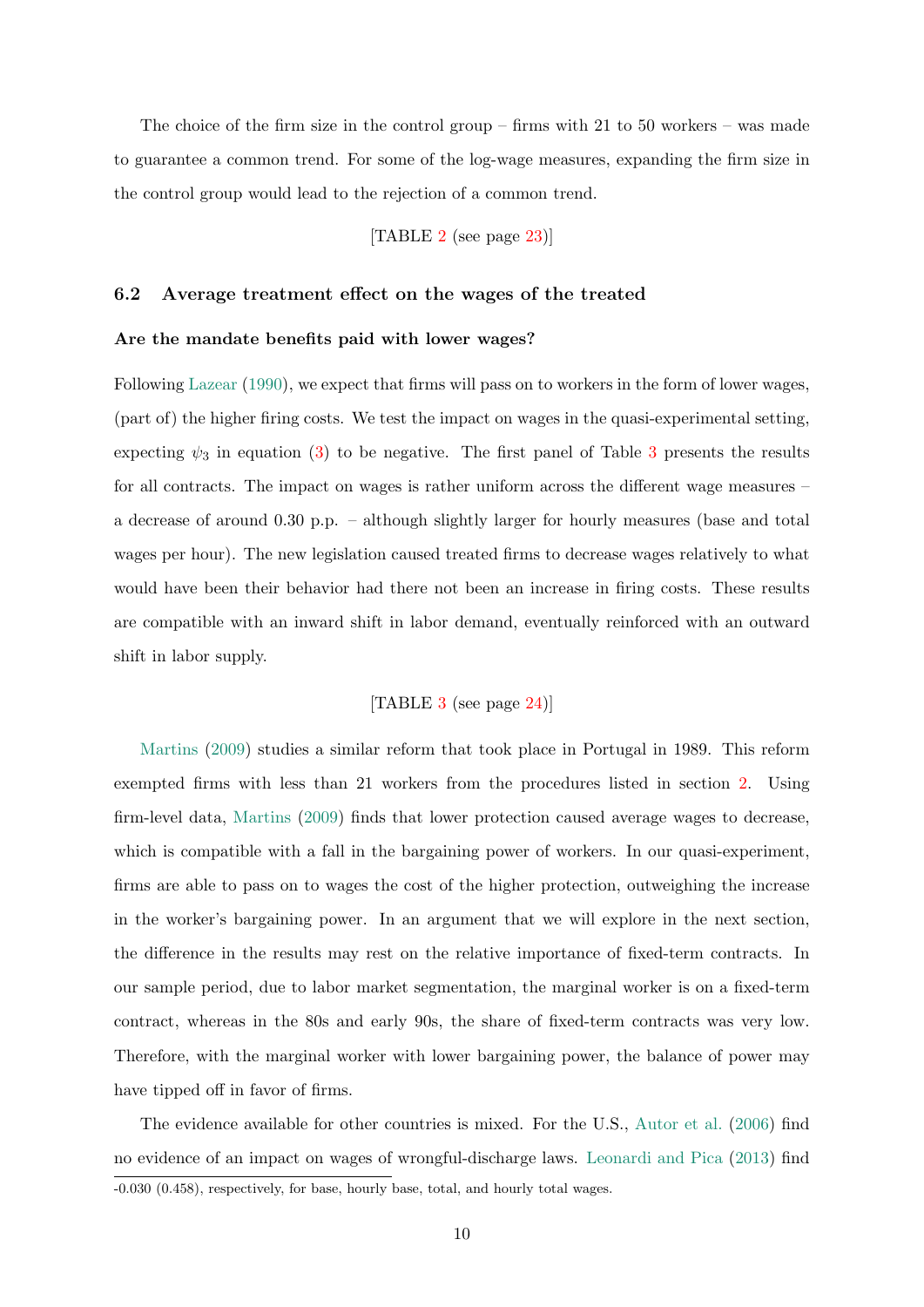The choice of the firm size in the control group – firms with  $21$  to  $50$  workers – was made to guarantee a common trend. For some of the log-wage measures, expanding the firm size in the control group would lead to the rejection of a common trend.

[TABLE [2](#page-24-0) (see page [23\)](#page-24-0)]

### 6.2 Average treatment effect on the wages of the treated

#### Are the mandate benefits paid with lower wages?

Following [Lazear](#page-21-0) [\(1990\)](#page-21-0), we expect that firms will pass on to workers in the form of lower wages, (part of) the higher firing costs. We test the impact on wages in the quasi-experimental setting, expecting  $\psi_3$  $\psi_3$  in equation [\(3\)](#page-9-0) to be negative. The first panel of Table 3 presents the results for all contracts. The impact on wages is rather uniform across the different wage measures – a decrease of around 0.30 p.p. – although slightly larger for hourly measures (base and total wages per hour). The new legislation caused treated firms to decrease wages relatively to what would have been their behavior had there not been an increase in firing costs. These results are compatible with an inward shift in labor demand, eventually reinforced with an outward shift in labor supply.

### [TABLE [3](#page-25-0) (see page [24\)](#page-25-0)]

[Martins](#page-21-5) [\(2009\)](#page-21-5) studies a similar reform that took place in Portugal in 1989. This reform exempted firms with less than 21 workers from the procedures listed in section [2.](#page-4-0) Using firm-level data, [Martins](#page-21-5) [\(2009\)](#page-21-5) finds that lower protection caused average wages to decrease, which is compatible with a fall in the bargaining power of workers. In our quasi-experiment, firms are able to pass on to wages the cost of the higher protection, outweighing the increase in the worker's bargaining power. In an argument that we will explore in the next section, the difference in the results may rest on the relative importance of fixed-term contracts. In our sample period, due to labor market segmentation, the marginal worker is on a fixed-term contract, whereas in the 80s and early 90s, the share of fixed-term contracts was very low. Therefore, with the marginal worker with lower bargaining power, the balance of power may have tipped off in favor of firms.

The evidence available for other countries is mixed. For the U.S., [Autor et al.](#page-20-4) [\(2006\)](#page-20-4) find no evidence of an impact on wages of wrongful-discharge laws. [Leonardi and Pica](#page-21-2) [\(2013\)](#page-21-2) find -0.030 (0.458), respectively, for base, hourly base, total, and hourly total wages.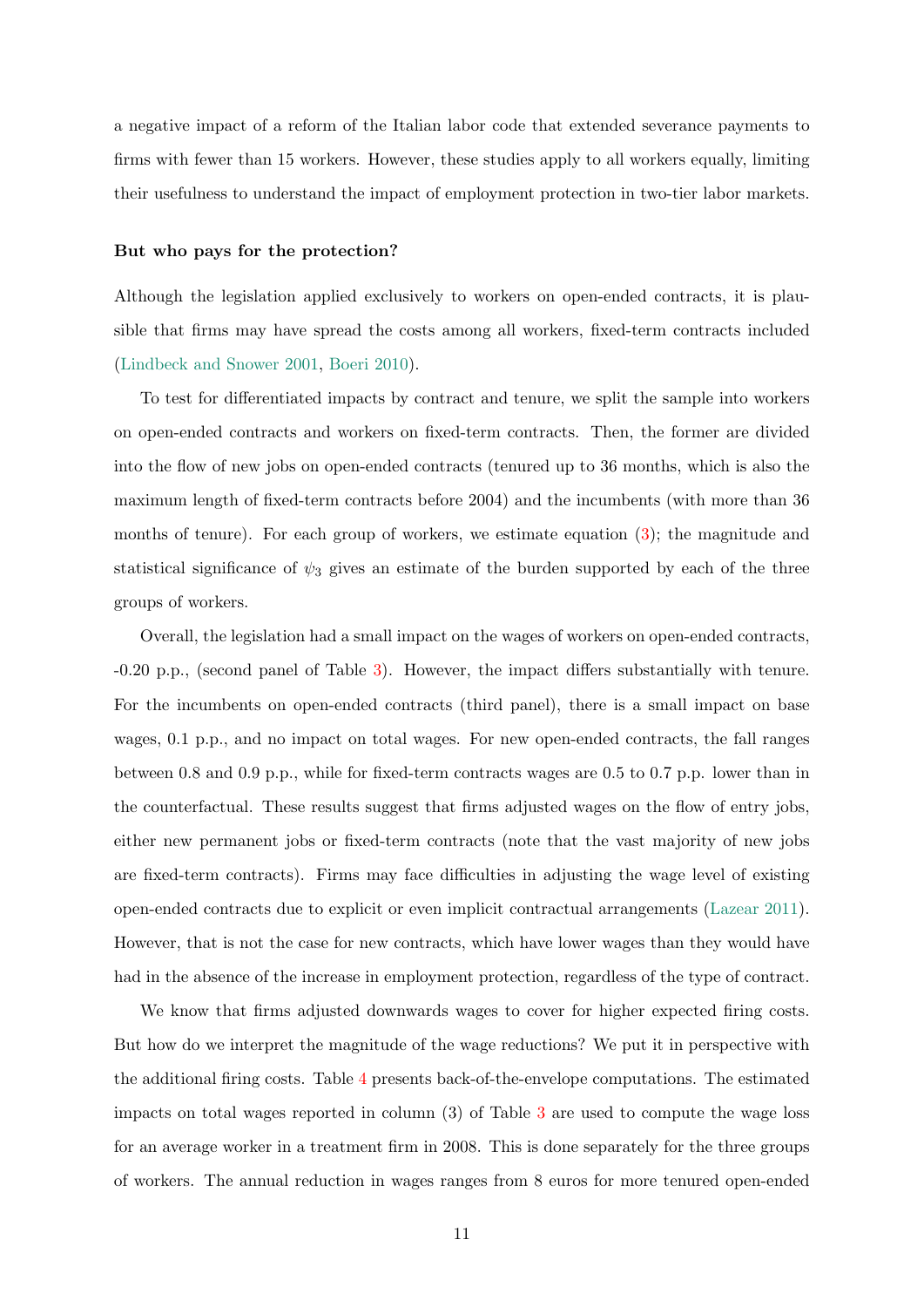a negative impact of a reform of the Italian labor code that extended severance payments to firms with fewer than 15 workers. However, these studies apply to all workers equally, limiting their usefulness to understand the impact of employment protection in two-tier labor markets.

#### But who pays for the protection?

Although the legislation applied exclusively to workers on open-ended contracts, it is plausible that firms may have spread the costs among all workers, fixed-term contracts included [\(Lindbeck and Snower](#page-21-1) [2001,](#page-21-1) [Boeri](#page-20-0) [2010\)](#page-20-0).

To test for differentiated impacts by contract and tenure, we split the sample into workers on open-ended contracts and workers on fixed-term contracts. Then, the former are divided into the flow of new jobs on open-ended contracts (tenured up to 36 months, which is also the maximum length of fixed-term contracts before 2004) and the incumbents (with more than 36 months of tenure). For each group of workers, we estimate equation [\(3\)](#page-9-0); the magnitude and statistical significance of  $\psi_3$  gives an estimate of the burden supported by each of the three groups of workers.

Overall, the legislation had a small impact on the wages of workers on open-ended contracts, -0.20 p.p., (second panel of Table [3\)](#page-25-0). However, the impact differs substantially with tenure. For the incumbents on open-ended contracts (third panel), there is a small impact on base wages, 0.1 p.p., and no impact on total wages. For new open-ended contracts, the fall ranges between 0.8 and 0.9 p.p., while for fixed-term contracts wages are 0.5 to 0.7 p.p. lower than in the counterfactual. These results suggest that firms adjusted wages on the flow of entry jobs, either new permanent jobs or fixed-term contracts (note that the vast majority of new jobs are fixed-term contracts). Firms may face difficulties in adjusting the wage level of existing open-ended contracts due to explicit or even implicit contractual arrangements [\(Lazear](#page-21-10) [2011\)](#page-21-10). However, that is not the case for new contracts, which have lower wages than they would have had in the absence of the increase in employment protection, regardless of the type of contract.

We know that firms adjusted downwards wages to cover for higher expected firing costs. But how do we interpret the magnitude of the wage reductions? We put it in perspective with the additional firing costs. Table [4](#page-26-0) presents back-of-the-envelope computations. The estimated impacts on total wages reported in column (3) of Table [3](#page-25-0) are used to compute the wage loss for an average worker in a treatment firm in 2008. This is done separately for the three groups of workers. The annual reduction in wages ranges from 8 euros for more tenured open-ended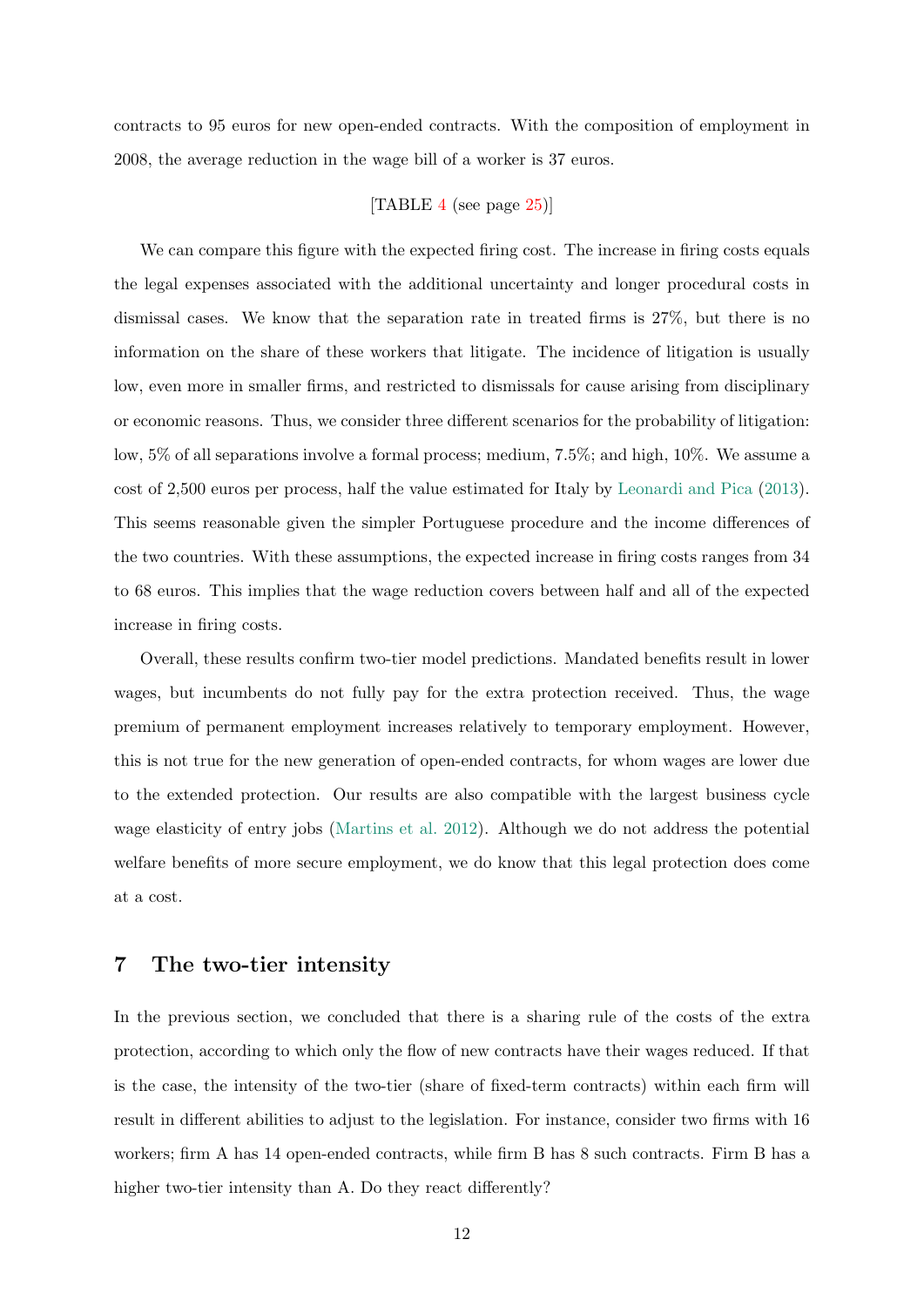contracts to 95 euros for new open-ended contracts. With the composition of employment in 2008, the average reduction in the wage bill of a worker is 37 euros.

# [TABLE [4](#page-26-0) (see page [25\)](#page-26-0)]

We can compare this figure with the expected firing cost. The increase in firing costs equals the legal expenses associated with the additional uncertainty and longer procedural costs in dismissal cases. We know that the separation rate in treated firms is 27%, but there is no information on the share of these workers that litigate. The incidence of litigation is usually low, even more in smaller firms, and restricted to dismissals for cause arising from disciplinary or economic reasons. Thus, we consider three different scenarios for the probability of litigation: low, 5% of all separations involve a formal process; medium, 7.5%; and high, 10%. We assume a cost of 2,500 euros per process, half the value estimated for Italy by [Leonardi and Pica](#page-21-2) [\(2013\)](#page-21-2). This seems reasonable given the simpler Portuguese procedure and the income differences of the two countries. With these assumptions, the expected increase in firing costs ranges from 34 to 68 euros. This implies that the wage reduction covers between half and all of the expected increase in firing costs.

Overall, these results confirm two-tier model predictions. Mandated benefits result in lower wages, but incumbents do not fully pay for the extra protection received. Thus, the wage premium of permanent employment increases relatively to temporary employment. However, this is not true for the new generation of open-ended contracts, for whom wages are lower due to the extended protection. Our results are also compatible with the largest business cycle wage elasticity of entry jobs [\(Martins et al.](#page-21-7) [2012\)](#page-21-7). Although we do not address the potential welfare benefits of more secure employment, we do know that this legal protection does come at a cost.

# 7 The two-tier intensity

In the previous section, we concluded that there is a sharing rule of the costs of the extra protection, according to which only the flow of new contracts have their wages reduced. If that is the case, the intensity of the two-tier (share of fixed-term contracts) within each firm will result in different abilities to adjust to the legislation. For instance, consider two firms with 16 workers; firm A has 14 open-ended contracts, while firm B has 8 such contracts. Firm B has a higher two-tier intensity than A. Do they react differently?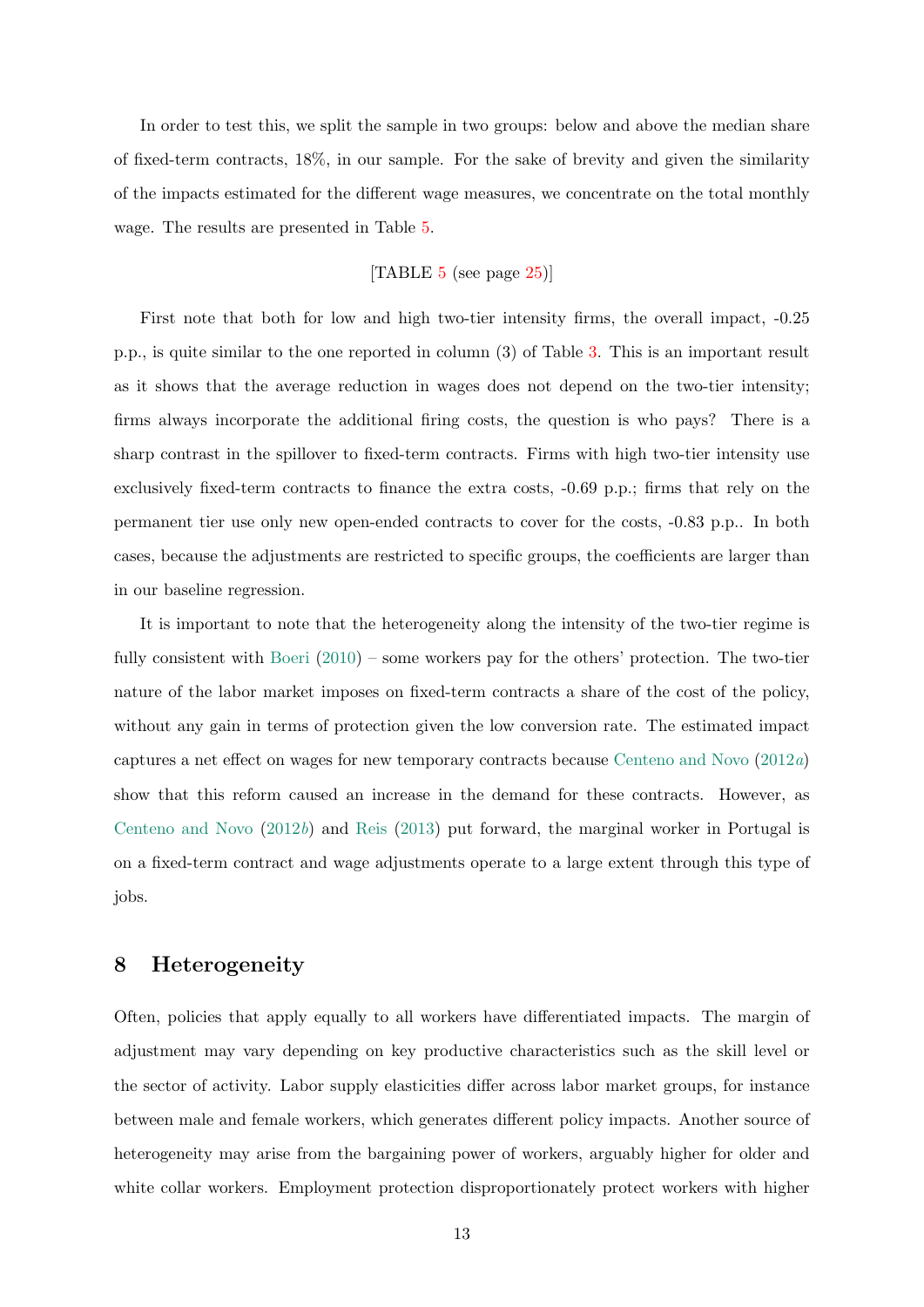In order to test this, we split the sample in two groups: below and above the median share of fixed-term contracts, 18%, in our sample. For the sake of brevity and given the similarity of the impacts estimated for the different wage measures, we concentrate on the total monthly wage. The results are presented in Table [5.](#page-26-1)

# [TABLE  $5$  (see page  $25$ )]

First note that both for low and high two-tier intensity firms, the overall impact, -0.25 p.p., is quite similar to the one reported in column (3) of Table [3.](#page-25-0) This is an important result as it shows that the average reduction in wages does not depend on the two-tier intensity; firms always incorporate the additional firing costs, the question is who pays? There is a sharp contrast in the spillover to fixed-term contracts. Firms with high two-tier intensity use exclusively fixed-term contracts to finance the extra costs, -0.69 p.p.; firms that rely on the permanent tier use only new open-ended contracts to cover for the costs, -0.83 p.p.. In both cases, because the adjustments are restricted to specific groups, the coefficients are larger than in our baseline regression.

It is important to note that the heterogeneity along the intensity of the two-tier regime is fully consistent with [Boeri](#page-20-0) [\(2010\)](#page-20-0) – some workers pay for the others' protection. The two-tier nature of the labor market imposes on fixed-term contracts a share of the cost of the policy, without any gain in terms of protection given the low conversion rate. The estimated impact captures a net effect on wages for new temporary contracts because [Centeno and Novo](#page-20-8) [\(2012](#page-20-8)a) show that this reform caused an increase in the demand for these contracts. However, as [Centeno and Novo](#page-21-11) [\(2012](#page-21-11)b) and [Reis](#page-21-12) [\(2013\)](#page-21-12) put forward, the marginal worker in Portugal is on a fixed-term contract and wage adjustments operate to a large extent through this type of jobs.

# 8 Heterogeneity

Often, policies that apply equally to all workers have differentiated impacts. The margin of adjustment may vary depending on key productive characteristics such as the skill level or the sector of activity. Labor supply elasticities differ across labor market groups, for instance between male and female workers, which generates different policy impacts. Another source of heterogeneity may arise from the bargaining power of workers, arguably higher for older and white collar workers. Employment protection disproportionately protect workers with higher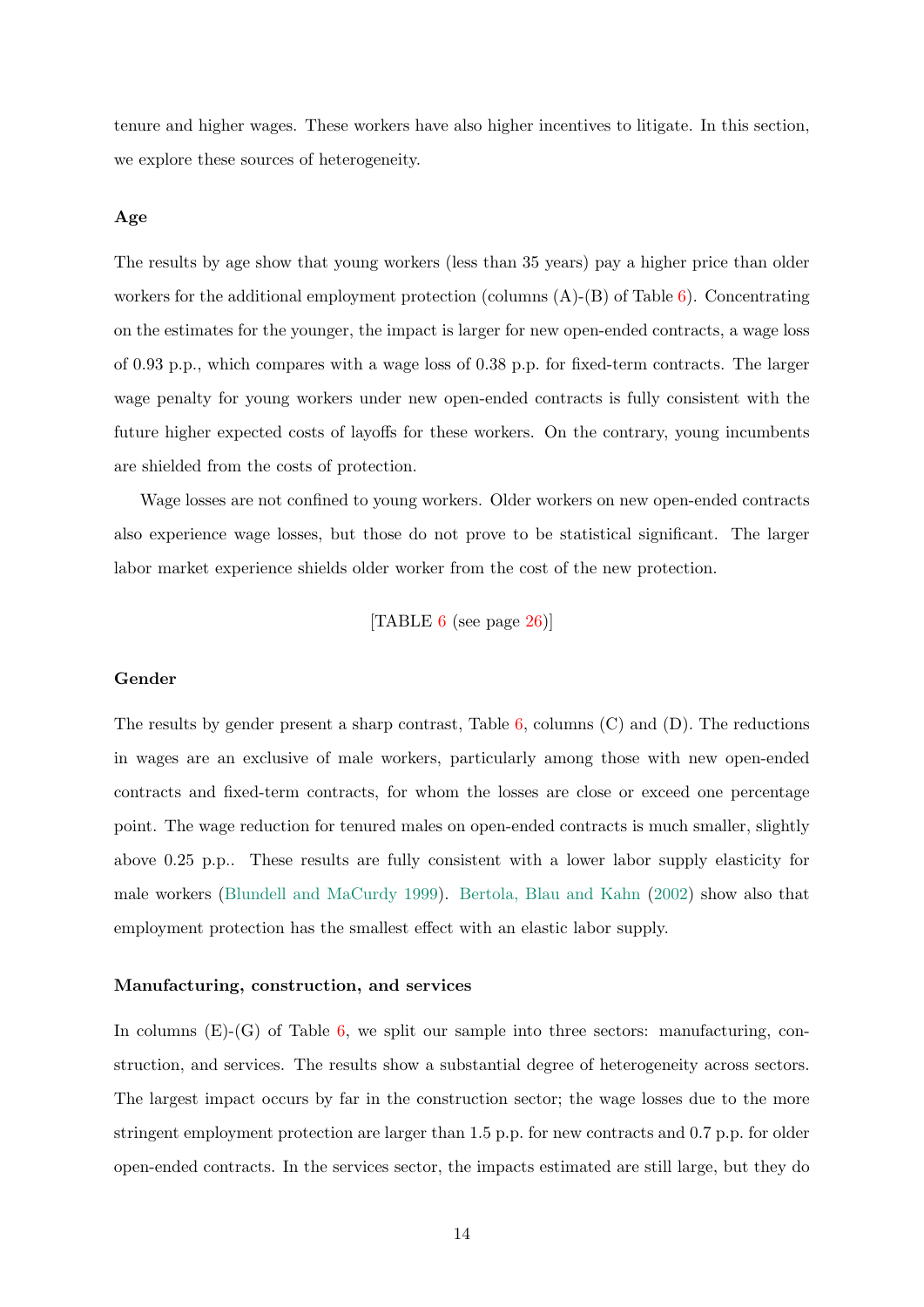tenure and higher wages. These workers have also higher incentives to litigate. In this section, we explore these sources of heterogeneity.

### Age

The results by age show that young workers (less than 35 years) pay a higher price than older workers for the additional employment protection (columns  $(A)$ - $(B)$  of Table [6\)](#page-27-0). Concentrating on the estimates for the younger, the impact is larger for new open-ended contracts, a wage loss of 0.93 p.p., which compares with a wage loss of 0.38 p.p. for fixed-term contracts. The larger wage penalty for young workers under new open-ended contracts is fully consistent with the future higher expected costs of layoffs for these workers. On the contrary, young incumbents are shielded from the costs of protection.

Wage losses are not confined to young workers. Older workers on new open-ended contracts also experience wage losses, but those do not prove to be statistical significant. The larger labor market experience shields older worker from the cost of the new protection.

[TABLE  $6$  (see page [26\)](#page-27-0)]

#### Gender

The results by gender present a sharp contrast, Table  $6$ , columns  $(C)$  and  $(D)$ . The reductions in wages are an exclusive of male workers, particularly among those with new open-ended contracts and fixed-term contracts, for whom the losses are close or exceed one percentage point. The wage reduction for tenured males on open-ended contracts is much smaller, slightly above 0.25 p.p.. These results are fully consistent with a lower labor supply elasticity for male workers [\(Blundell and MaCurdy](#page-20-9) [1999\)](#page-20-9). [Bertola, Blau and Kahn](#page-20-10) [\(2002\)](#page-20-10) show also that employment protection has the smallest effect with an elastic labor supply.

### Manufacturing, construction, and services

In columns  $(E)$ - $(G)$  of Table [6,](#page-27-0) we split our sample into three sectors: manufacturing, construction, and services. The results show a substantial degree of heterogeneity across sectors. The largest impact occurs by far in the construction sector; the wage losses due to the more stringent employment protection are larger than 1.5 p.p. for new contracts and 0.7 p.p. for older open-ended contracts. In the services sector, the impacts estimated are still large, but they do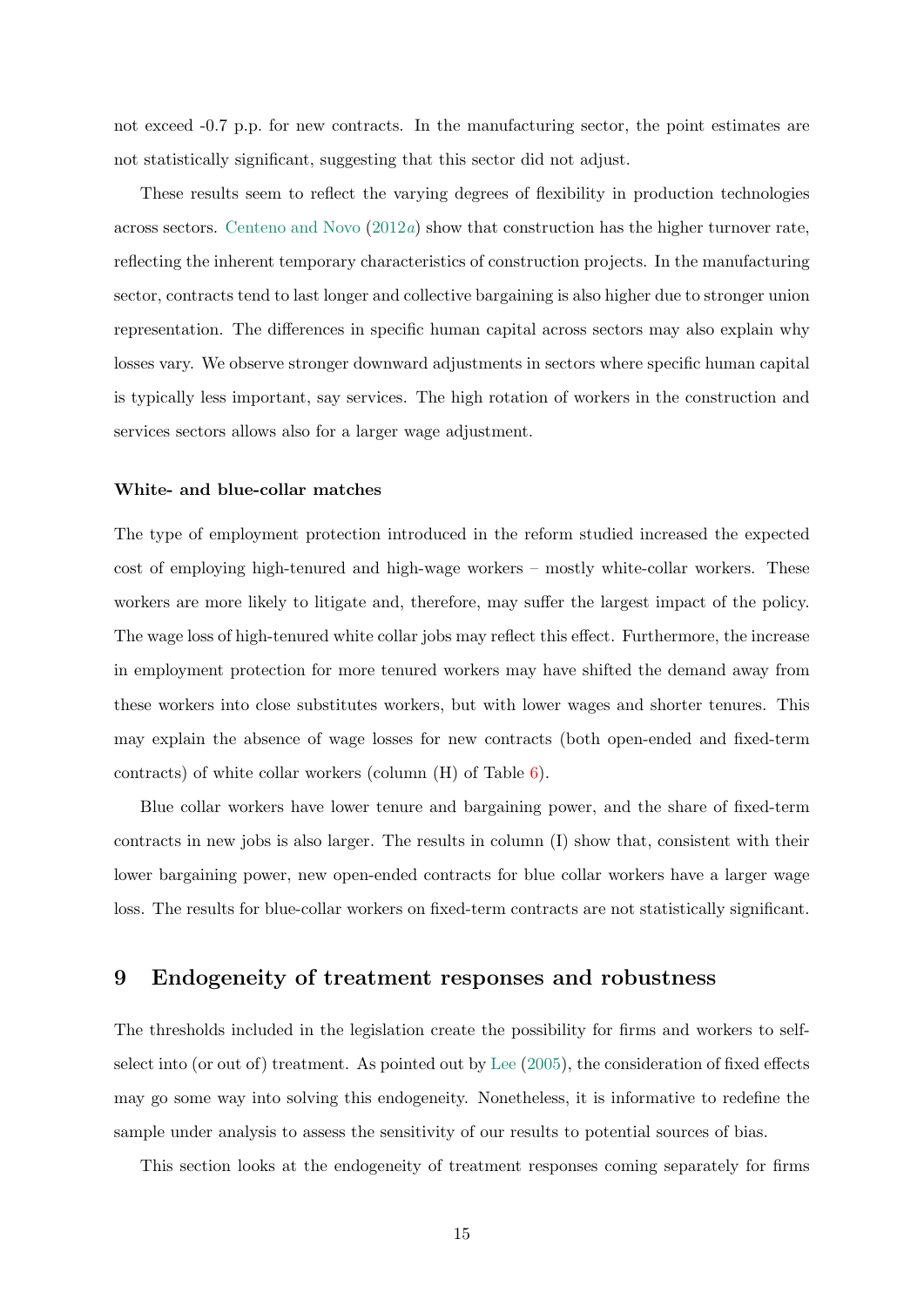not exceed  $-0.7$  p.p. for new contracts. In the manufacturing sector, the point estimates are not statistically significant, suggesting that this sector did not adjust.

These results seem to reflect the varying degrees of flexibility in production technologies across sectors. [Centeno and Novo](#page-20-8)  $(2012a)$  $(2012a)$  show that construction has the higher turnover rate, reflecting the inherent temporary characteristics of construction projects. In the manufacturing sector, contracts tend to last longer and collective bargaining is also higher due to stronger union representation. The differences in specific human capital across sectors may also explain why losses vary. We observe stronger downward adjustments in sectors where specific human capital is typically less important, say services. The high rotation of workers in the construction and services sectors allows also for a larger wage adjustment.

### White- and blue-collar matches

The type of employment protection introduced in the reform studied increased the expected cost of employing high-tenured and high-wage workers – mostly white-collar workers. These workers are more likely to litigate and, therefore, may suffer the largest impact of the policy. The wage loss of high-tenured white collar jobs may reflect this effect. Furthermore, the increase in employment protection for more tenured workers may have shifted the demand away from these workers into close substitutes workers, but with lower wages and shorter tenures. This may explain the absence of wage losses for new contracts (both open-ended and fixed-term contracts) of white collar workers (column (H) of Table [6\)](#page-27-0).

Blue collar workers have lower tenure and bargaining power, and the share of fixed-term contracts in new jobs is also larger. The results in column (I) show that, consistent with their lower bargaining power, new open-ended contracts for blue collar workers have a larger wage loss. The results for blue-collar workers on fixed-term contracts are not statistically significant.

# 9 Endogeneity of treatment responses and robustness

The thresholds included in the legislation create the possibility for firms and workers to selfselect into (or out of) treatment. As pointed out by [Lee](#page-21-9) [\(2005\)](#page-21-9), the consideration of fixed effects may go some way into solving this endogeneity. Nonetheless, it is informative to redefine the sample under analysis to assess the sensitivity of our results to potential sources of bias.

This section looks at the endogeneity of treatment responses coming separately for firms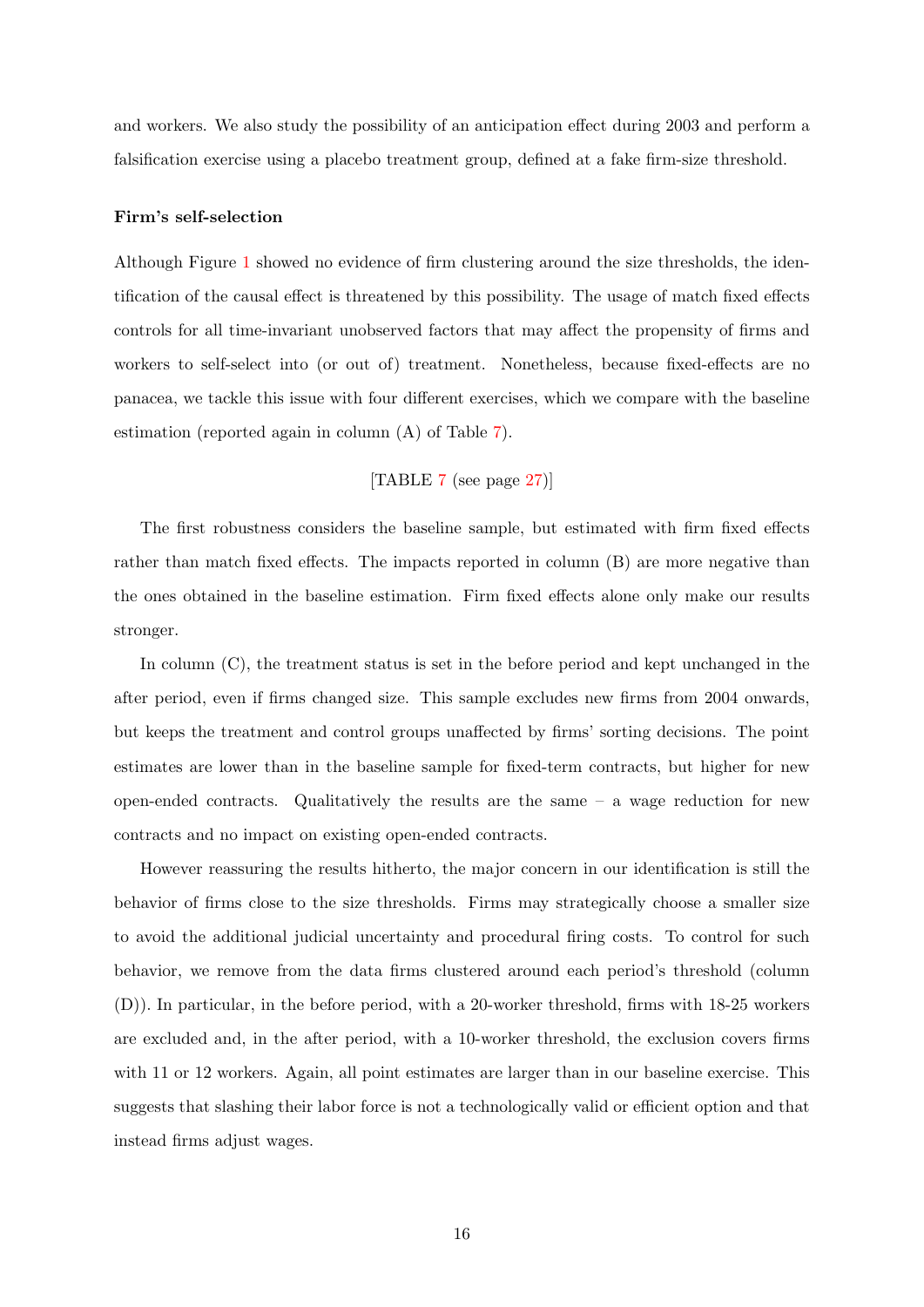and workers. We also study the possibility of an anticipation effect during 2003 and perform a falsification exercise using a placebo treatment group, defined at a fake firm-size threshold.

#### Firm's self-selection

Although Figure [1](#page-22-0) showed no evidence of firm clustering around the size thresholds, the identification of the causal effect is threatened by this possibility. The usage of match fixed effects controls for all time-invariant unobserved factors that may affect the propensity of firms and workers to self-select into (or out of) treatment. Nonetheless, because fixed-effects are no panacea, we tackle this issue with four different exercises, which we compare with the baseline estimation (reported again in column (A) of Table [7\)](#page-28-0).

# [TABLE [7](#page-28-0) (see page [27\)](#page-28-0)]

The first robustness considers the baseline sample, but estimated with firm fixed effects rather than match fixed effects. The impacts reported in column (B) are more negative than the ones obtained in the baseline estimation. Firm fixed effects alone only make our results stronger.

In column (C), the treatment status is set in the before period and kept unchanged in the after period, even if firms changed size. This sample excludes new firms from 2004 onwards, but keeps the treatment and control groups unaffected by firms' sorting decisions. The point estimates are lower than in the baseline sample for fixed-term contracts, but higher for new open-ended contracts. Qualitatively the results are the same  $-$  a wage reduction for new contracts and no impact on existing open-ended contracts.

However reassuring the results hitherto, the major concern in our identification is still the behavior of firms close to the size thresholds. Firms may strategically choose a smaller size to avoid the additional judicial uncertainty and procedural firing costs. To control for such behavior, we remove from the data firms clustered around each period's threshold (column (D)). In particular, in the before period, with a 20-worker threshold, firms with 18-25 workers are excluded and, in the after period, with a 10-worker threshold, the exclusion covers firms with 11 or 12 workers. Again, all point estimates are larger than in our baseline exercise. This suggests that slashing their labor force is not a technologically valid or efficient option and that instead firms adjust wages.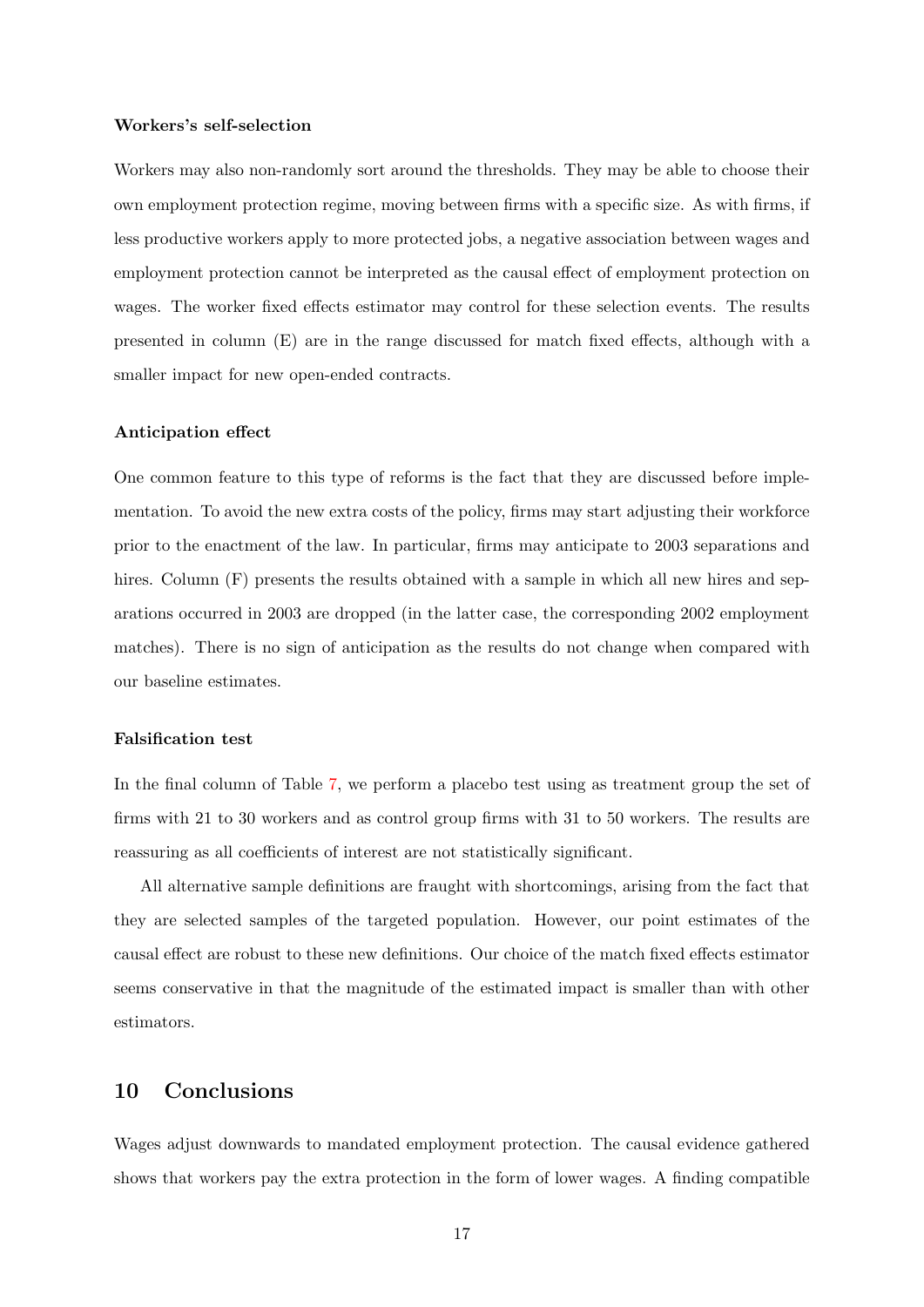#### Workers's self-selection

Workers may also non-randomly sort around the thresholds. They may be able to choose their own employment protection regime, moving between firms with a specific size. As with firms, if less productive workers apply to more protected jobs, a negative association between wages and employment protection cannot be interpreted as the causal effect of employment protection on wages. The worker fixed effects estimator may control for these selection events. The results presented in column (E) are in the range discussed for match fixed effects, although with a smaller impact for new open-ended contracts.

### Anticipation effect

One common feature to this type of reforms is the fact that they are discussed before implementation. To avoid the new extra costs of the policy, firms may start adjusting their workforce prior to the enactment of the law. In particular, firms may anticipate to 2003 separations and hires. Column (F) presents the results obtained with a sample in which all new hires and separations occurred in 2003 are dropped (in the latter case, the corresponding 2002 employment matches). There is no sign of anticipation as the results do not change when compared with our baseline estimates.

### Falsification test

In the final column of Table [7,](#page-28-0) we perform a placebo test using as treatment group the set of firms with 21 to 30 workers and as control group firms with 31 to 50 workers. The results are reassuring as all coefficients of interest are not statistically significant.

All alternative sample definitions are fraught with shortcomings, arising from the fact that they are selected samples of the targeted population. However, our point estimates of the causal effect are robust to these new definitions. Our choice of the match fixed effects estimator seems conservative in that the magnitude of the estimated impact is smaller than with other estimators.

# 10 Conclusions

Wages adjust downwards to mandated employment protection. The causal evidence gathered shows that workers pay the extra protection in the form of lower wages. A finding compatible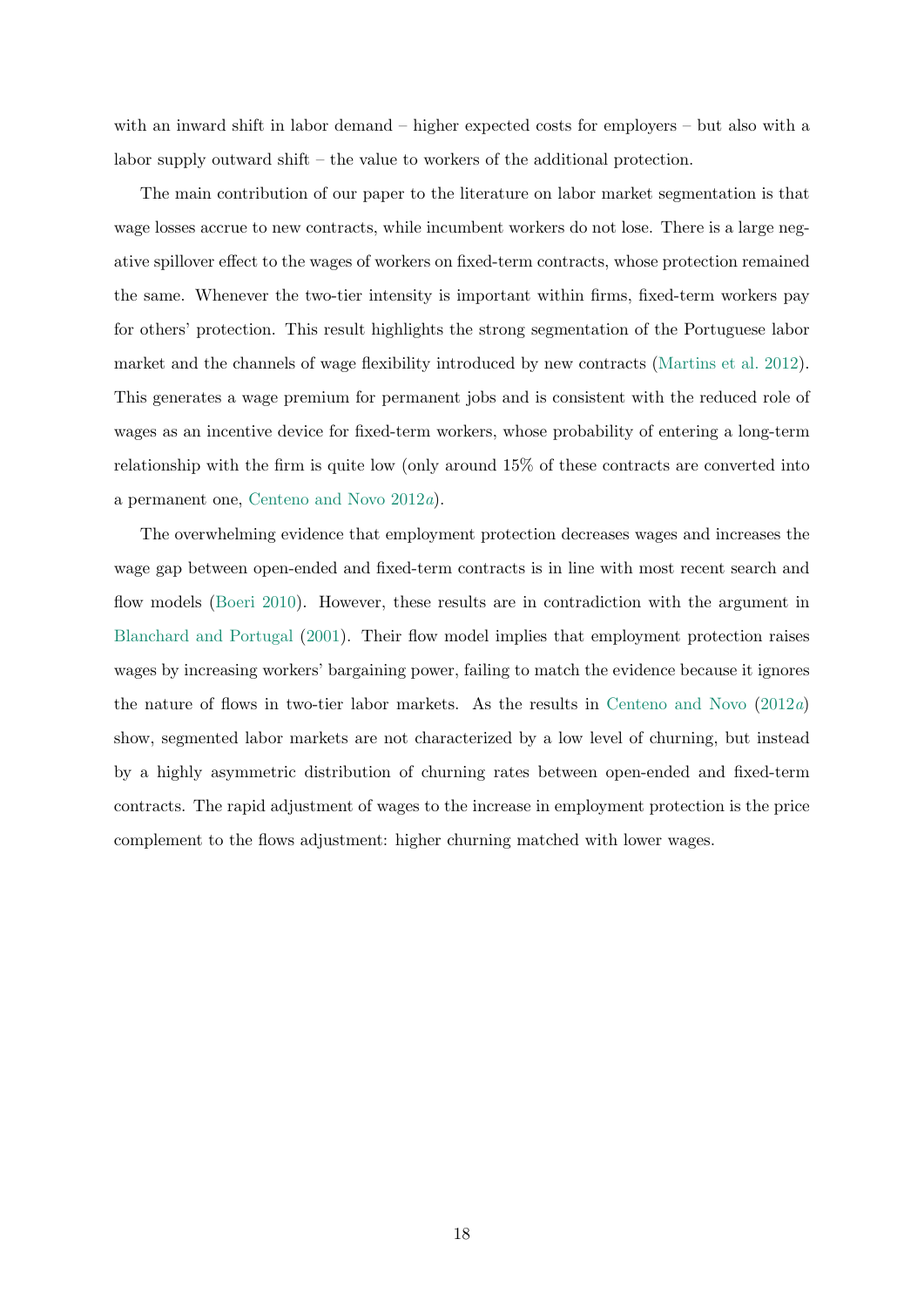with an inward shift in labor demand – higher expected costs for employers – but also with a labor supply outward shift – the value to workers of the additional protection.

The main contribution of our paper to the literature on labor market segmentation is that wage losses accrue to new contracts, while incumbent workers do not lose. There is a large negative spillover effect to the wages of workers on fixed-term contracts, whose protection remained the same. Whenever the two-tier intensity is important within firms, fixed-term workers pay for others' protection. This result highlights the strong segmentation of the Portuguese labor market and the channels of wage flexibility introduced by new contracts [\(Martins et al.](#page-21-7) [2012\)](#page-21-7). This generates a wage premium for permanent jobs and is consistent with the reduced role of wages as an incentive device for fixed-term workers, whose probability of entering a long-term relationship with the firm is quite low (only around 15% of these contracts are converted into a permanent one, [Centeno and Novo](#page-20-8) [2012](#page-20-8)a).

The overwhelming evidence that employment protection decreases wages and increases the wage gap between open-ended and fixed-term contracts is in line with most recent search and flow models [\(Boeri](#page-20-0) [2010\)](#page-20-0). However, these results are in contradiction with the argument in [Blanchard and Portugal](#page-20-11) [\(2001\)](#page-20-11). Their flow model implies that employment protection raises wages by increasing workers' bargaining power, failing to match the evidence because it ignores the nature of flows in two-tier labor markets. As the results in [Centeno and Novo](#page-20-8)  $(2012a)$  $(2012a)$ show, segmented labor markets are not characterized by a low level of churning, but instead by a highly asymmetric distribution of churning rates between open-ended and fixed-term contracts. The rapid adjustment of wages to the increase in employment protection is the price complement to the flows adjustment: higher churning matched with lower wages.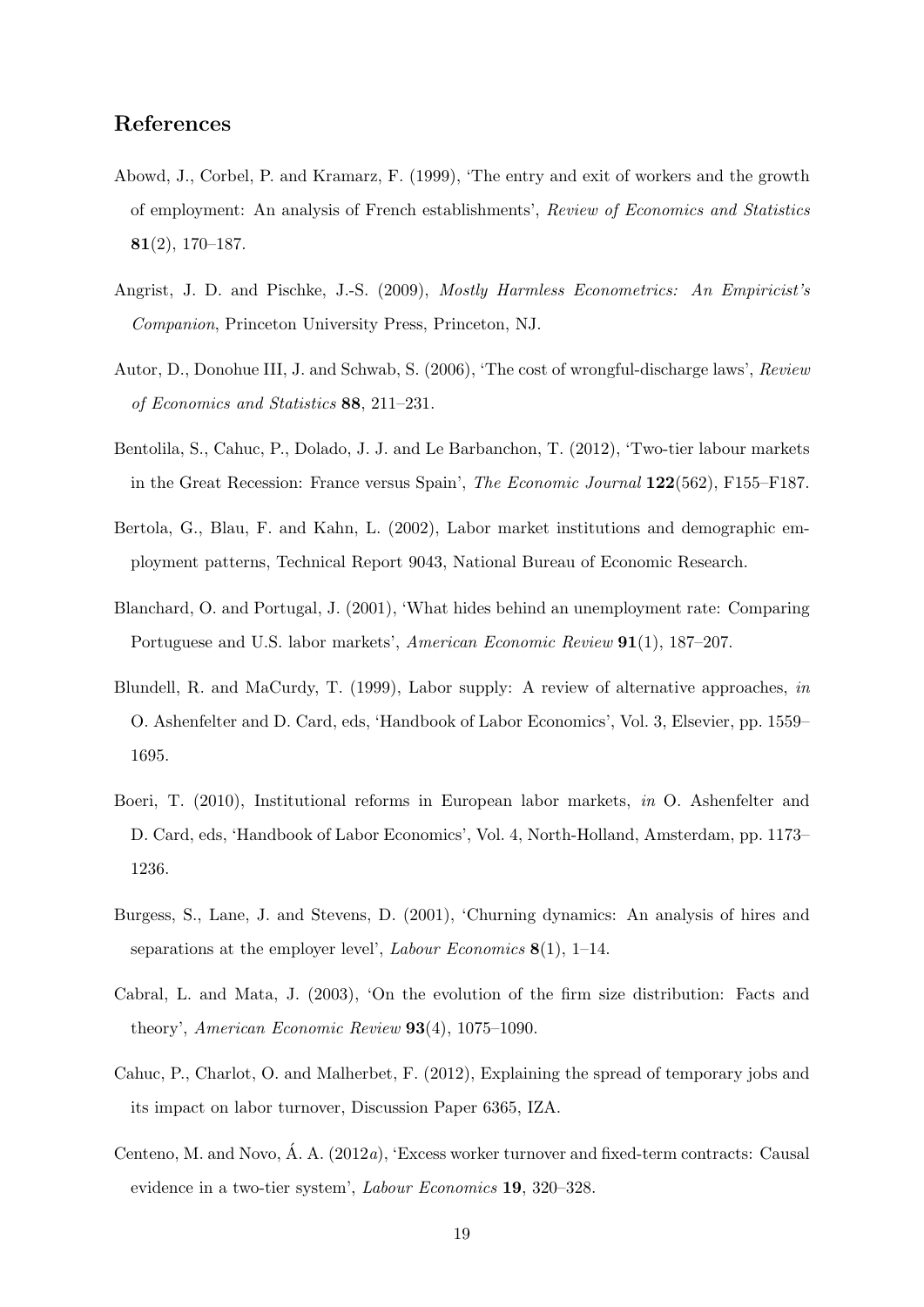# References

- <span id="page-20-3"></span>Abowd, J., Corbel, P. and Kramarz, F. (1999), 'The entry and exit of workers and the growth of employment: An analysis of French establishments', Review of Economics and Statistics 81(2), 170–187.
- <span id="page-20-7"></span>Angrist, J. D. and Pischke, J.-S. (2009), Mostly Harmless Econometrics: An Empiricist's Companion, Princeton University Press, Princeton, NJ.
- <span id="page-20-4"></span>Autor, D., Donohue III, J. and Schwab, S. (2006), 'The cost of wrongful-discharge laws', Review of Economics and Statistics 88, 211–231.
- <span id="page-20-1"></span>Bentolila, S., Cahuc, P., Dolado, J. J. and Le Barbanchon, T. (2012), 'Two-tier labour markets in the Great Recession: France versus Spain', The Economic Journal 122(562), F155–F187.
- <span id="page-20-10"></span>Bertola, G., Blau, F. and Kahn, L. (2002), Labor market institutions and demographic employment patterns, Technical Report 9043, National Bureau of Economic Research.
- <span id="page-20-11"></span>Blanchard, O. and Portugal, J. (2001), 'What hides behind an unemployment rate: Comparing Portuguese and U.S. labor markets', American Economic Review 91(1), 187–207.
- <span id="page-20-9"></span>Blundell, R. and MaCurdy, T. (1999), Labor supply: A review of alternative approaches, in O. Ashenfelter and D. Card, eds, 'Handbook of Labor Economics', Vol. 3, Elsevier, pp. 1559– 1695.
- <span id="page-20-0"></span>Boeri, T. (2010), Institutional reforms in European labor markets, in O. Ashenfelter and D. Card, eds, 'Handbook of Labor Economics', Vol. 4, North-Holland, Amsterdam, pp. 1173– 1236.
- <span id="page-20-5"></span>Burgess, S., Lane, J. and Stevens, D. (2001), 'Churning dynamics: An analysis of hires and separations at the employer level', *Labour Economics* 8(1), 1–14.
- <span id="page-20-6"></span>Cabral, L. and Mata, J. (2003), 'On the evolution of the firm size distribution: Facts and theory', American Economic Review 93(4), 1075–1090.
- <span id="page-20-2"></span>Cahuc, P., Charlot, O. and Malherbet, F. (2012), Explaining the spread of temporary jobs and its impact on labor turnover, Discussion Paper 6365, IZA.
- <span id="page-20-8"></span>Centeno, M. and Novo, Á. A. (2012a), 'Excess worker turnover and fixed-term contracts: Causal evidence in a two-tier system', Labour Economics 19, 320–328.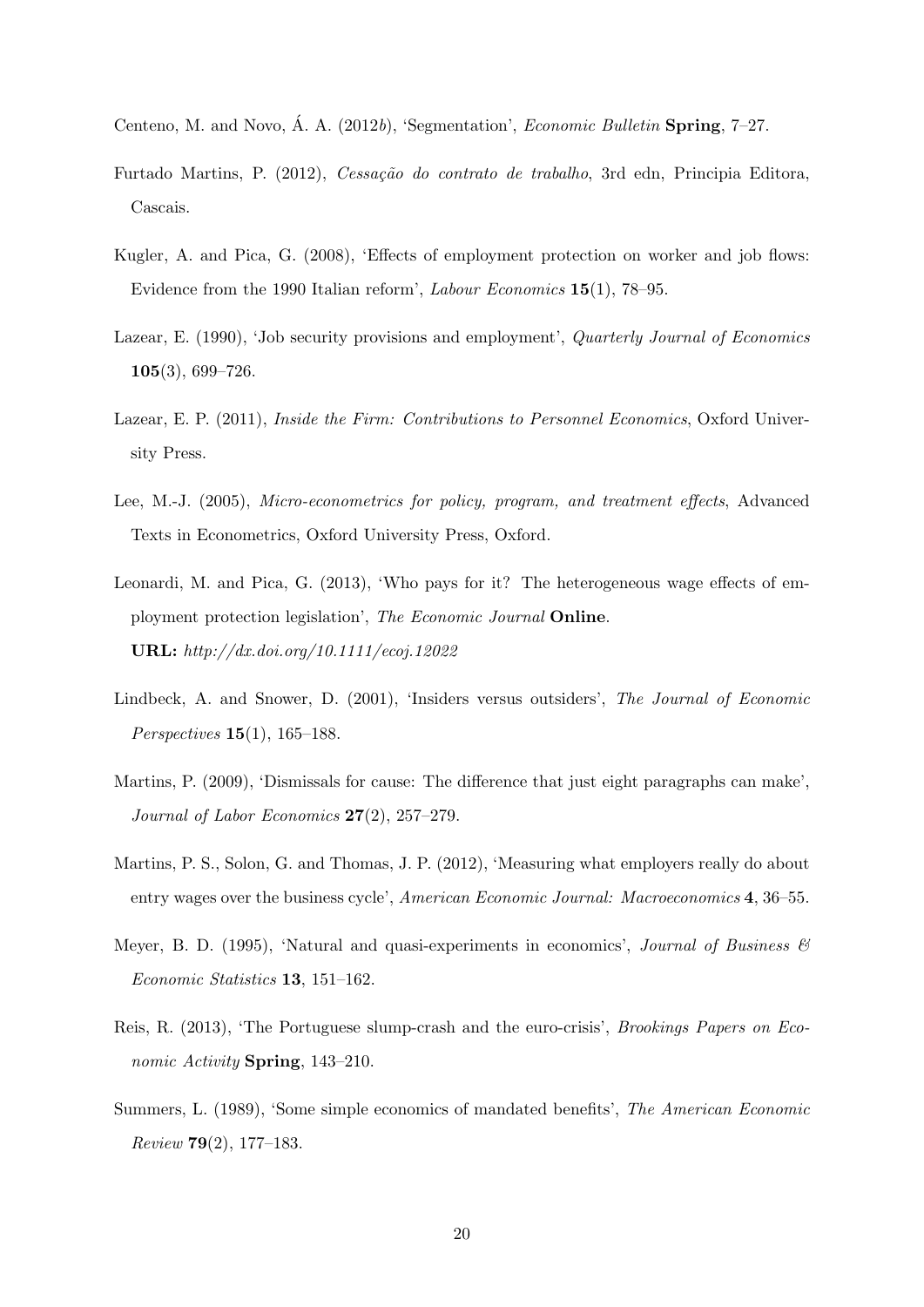- <span id="page-21-11"></span>Centeno, M. and Novo, Á. A. (2012b), 'Segmentation', *Economic Bulletin* Spring,  $7-27$ .
- <span id="page-21-3"></span>Furtado Martins, P. (2012), Cessação do contrato de trabalho, 3rd edn, Principia Editora, Cascais.
- <span id="page-21-4"></span>Kugler, A. and Pica, G. (2008), 'Effects of employment protection on worker and job flows: Evidence from the 1990 Italian reform', Labour Economics 15(1), 78–95.
- <span id="page-21-0"></span>Lazear, E. (1990), 'Job security provisions and employment', *Quarterly Journal of Economics* 105(3), 699–726.
- <span id="page-21-10"></span>Lazear, E. P. (2011), *Inside the Firm: Contributions to Personnel Economics*, Oxford University Press.
- <span id="page-21-9"></span>Lee, M.-J. (2005), Micro-econometrics for policy, program, and treatment effects, Advanced Texts in Econometrics, Oxford University Press, Oxford.
- <span id="page-21-2"></span>Leonardi, M. and Pica, G. (2013), 'Who pays for it? The heterogeneous wage effects of employment protection legislation', The Economic Journal Online. URL: http://dx.doi.org/10.1111/ecoj.12022
- <span id="page-21-1"></span>Lindbeck, A. and Snower, D. (2001), 'Insiders versus outsiders', The Journal of Economic Perspectives 15(1), 165–188.
- <span id="page-21-5"></span>Martins, P. (2009), 'Dismissals for cause: The difference that just eight paragraphs can make', Journal of Labor Economics 27(2), 257–279.
- <span id="page-21-7"></span>Martins, P. S., Solon, G. and Thomas, J. P. (2012), 'Measuring what employers really do about entry wages over the business cycle', American Economic Journal: Macroeconomics 4, 36–55.
- <span id="page-21-8"></span>Meyer, B. D. (1995), 'Natural and quasi-experiments in economics', *Journal of Business*  $\mathscr{C}$ Economic Statistics 13, 151–162.
- <span id="page-21-12"></span>Reis, R. (2013), 'The Portuguese slump-crash and the euro-crisis', Brookings Papers on Economic Activity Spring, 143–210.
- <span id="page-21-6"></span>Summers, L. (1989), 'Some simple economics of mandated benefits', The American Economic Review 79(2), 177–183.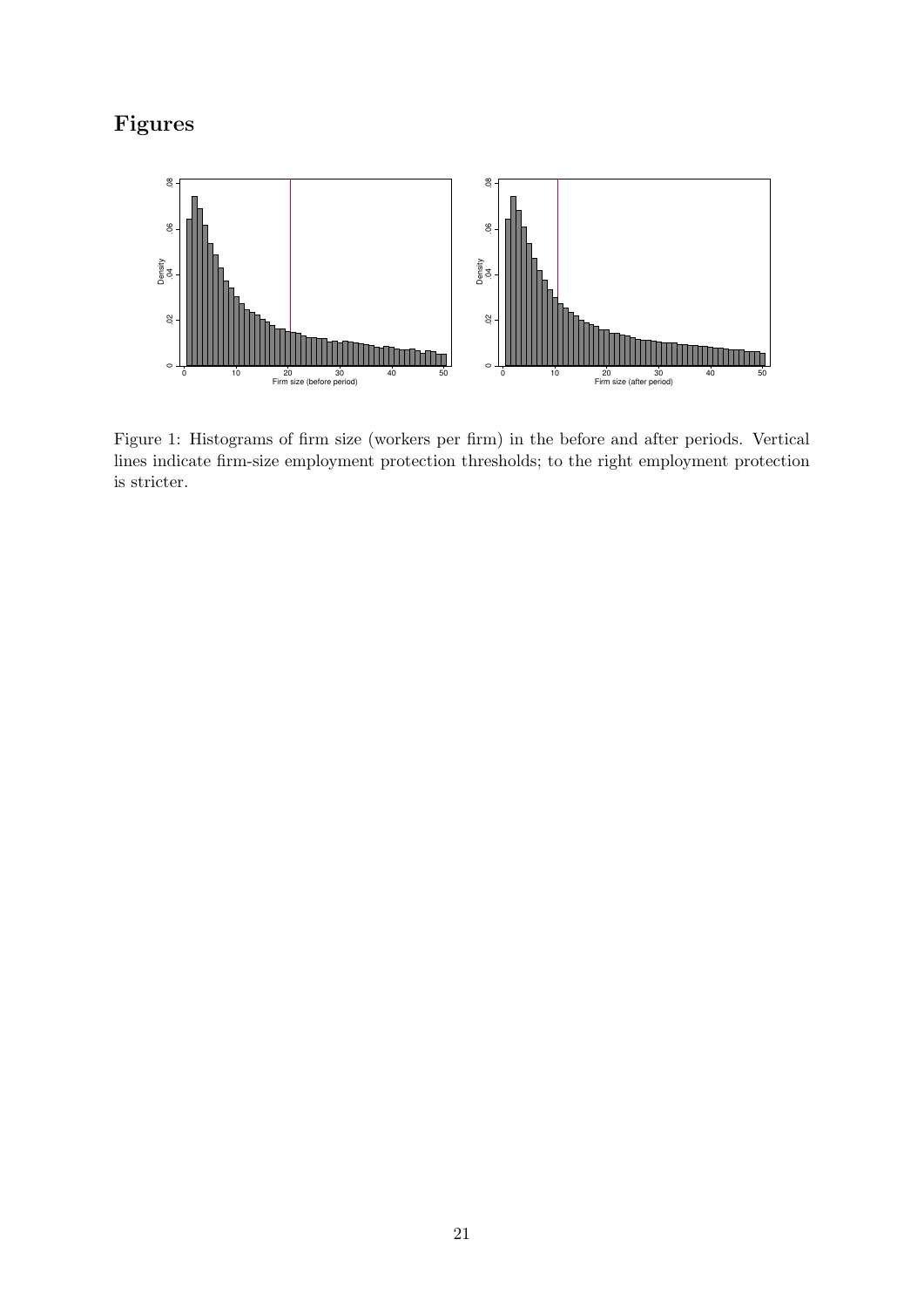# Figures

<span id="page-22-0"></span>

Figure 1: Histograms of firm size (workers per firm) in the before and after periods. Vertical lines indicate firm-size employment protection thresholds; to the right employment protection is stricter.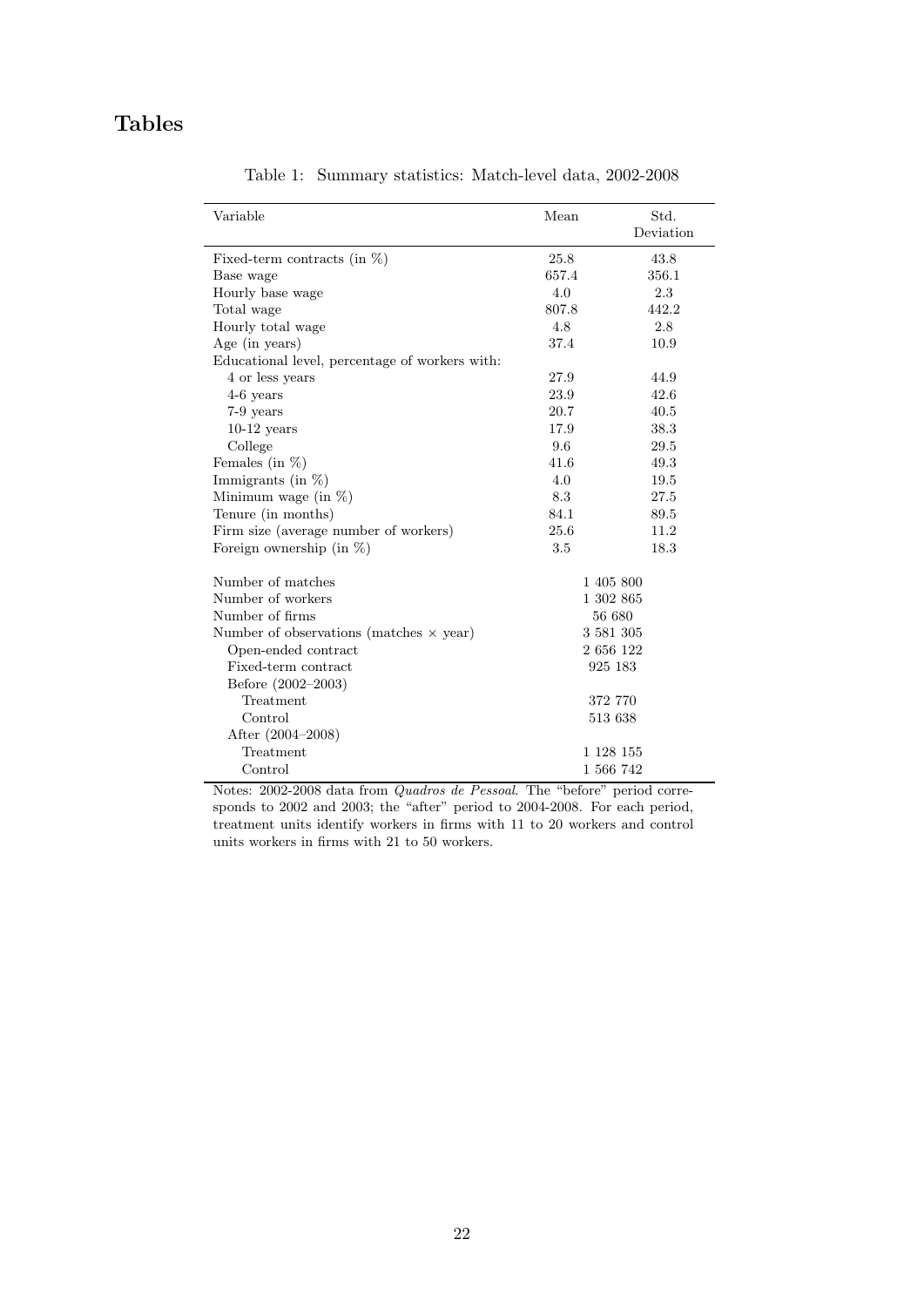# <span id="page-23-0"></span>Tables

| Variable                                       | Mean  | Std.<br>Deviation |
|------------------------------------------------|-------|-------------------|
|                                                | 25.8  | 43.8              |
| Fixed-term contracts (in $%$ )<br>Base wage    | 657.4 | 356.1             |
| Hourly base wage                               | 4.0   | 2.3               |
| Total wage                                     | 807.8 | 442.2             |
| Hourly total wage                              | 4.8   | 2.8               |
| Age (in years)                                 | 37.4  | 10.9              |
| Educational level, percentage of workers with: |       |                   |
| 4 or less years                                | 27.9  | 44.9              |
| $4-6$ years                                    | 23.9  | 42.6              |
| 7-9 years                                      | 20.7  | 40.5              |
| $10-12$ years                                  | 17.9  | 38.3              |
| College                                        | 9.6   | 29.5              |
| Females (in $\%$ )                             | 41.6  | 49.3              |
| Immigrants (in $%$ )                           | 4.0   | 19.5              |
| Minimum wage (in $%$ )                         | 8.3   | 27.5              |
| Tenure (in months)                             | 84.1  | 89.5              |
| Firm size (average number of workers)          | 25.6  | 11.2              |
| Foreign ownership (in $\%$ )                   | 3.5   | 18.3              |
| Number of matches                              |       | 1 405 800         |
| Number of workers                              |       | 1 302 865         |
| Number of firms                                |       | 56 680            |
| Number of observations (matches $\times$ year) |       | 3 581 305         |
| Open-ended contract                            |       | 2 656 122         |
| Fixed-term contract                            |       | 925 183           |
| Before (2002–2003)                             |       |                   |
| Treatment                                      |       | 372 770           |
| Control                                        |       | 513 638           |
| After (2004-2008)                              |       |                   |
| Treatment                                      |       | 1 1 28 1 55       |
| Control                                        |       | 1 566 742         |

Table 1: Summary statistics: Match-level data, 2002-2008

Notes: 2002-2008 data from Quadros de Pessoal. The "before" period corresponds to 2002 and 2003; the "after" period to 2004-2008. For each period, treatment units identify workers in firms with 11 to 20 workers and control units workers in firms with 21 to 50 workers.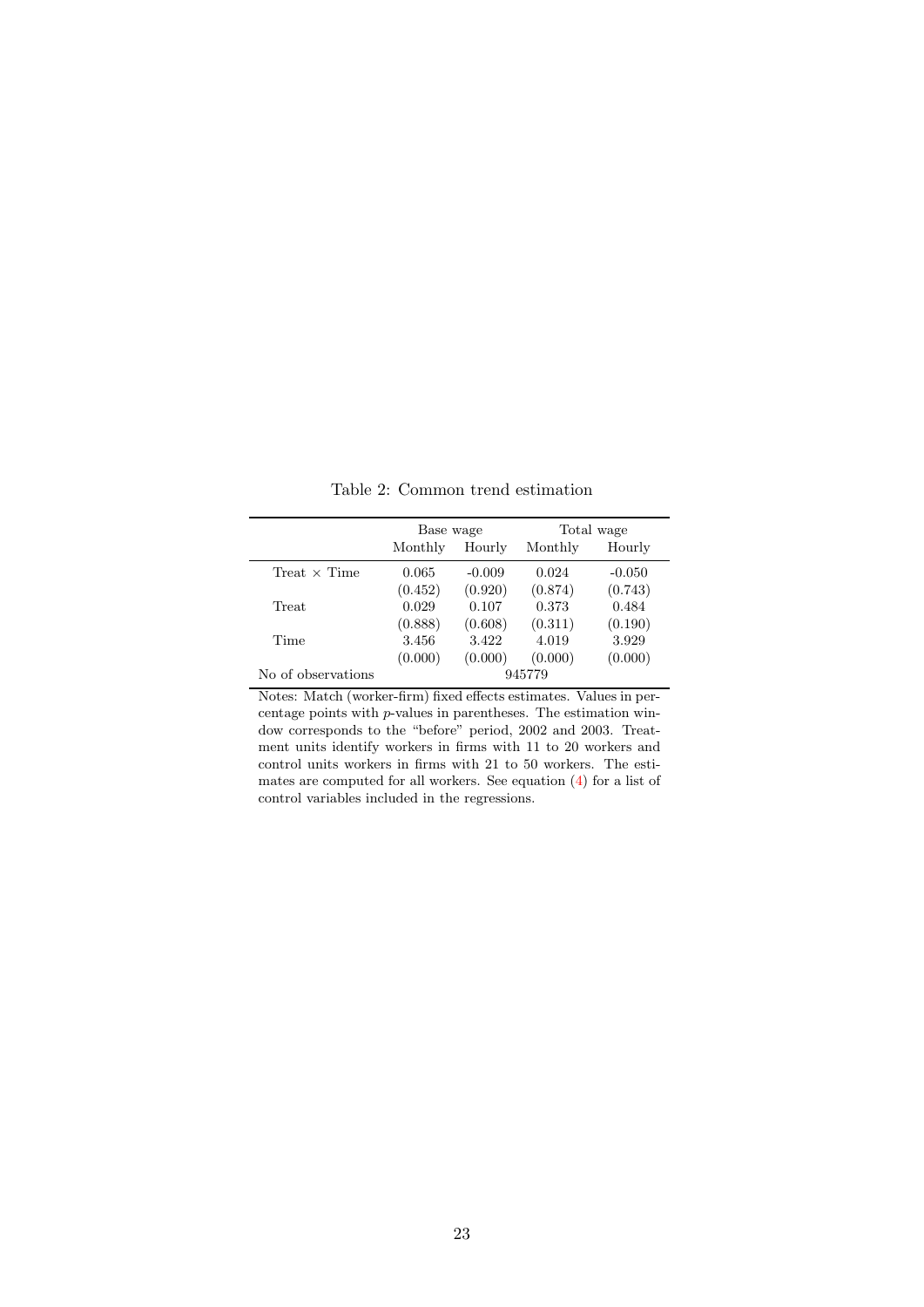<span id="page-24-0"></span>

|                     | Base wage |          |         | Total wage |
|---------------------|-----------|----------|---------|------------|
|                     | Monthly   | Hourly   | Monthly | Hourly     |
| Treat $\times$ Time | 0.065     | $-0.009$ | 0.024   | $-0.050$   |
|                     | (0.452)   | (0.920)  | (0.874) | (0.743)    |
| Treat               | 0.029     | 0.107    | 0.373   | 0.484      |
|                     | (0.888)   | (0.608)  | (0.311) | (0.190)    |
| Time                | 3.456     | 3.422    | 4.019   | 3.929      |
|                     | (0.000)   | (0.000)  | (0.000) | (0.000)    |
| No of observations  |           |          | 945779  |            |

Table 2: Common trend estimation

Notes: Match (worker-firm) fixed effects estimates. Values in percentage points with p-values in parentheses. The estimation window corresponds to the "before" period, 2002 and 2003. Treatment units identify workers in firms with 11 to 20 workers and control units workers in firms with 21 to 50 workers. The estimates are computed for all workers. See equation [\(4\)](#page-10-1) for a list of control variables included in the regressions.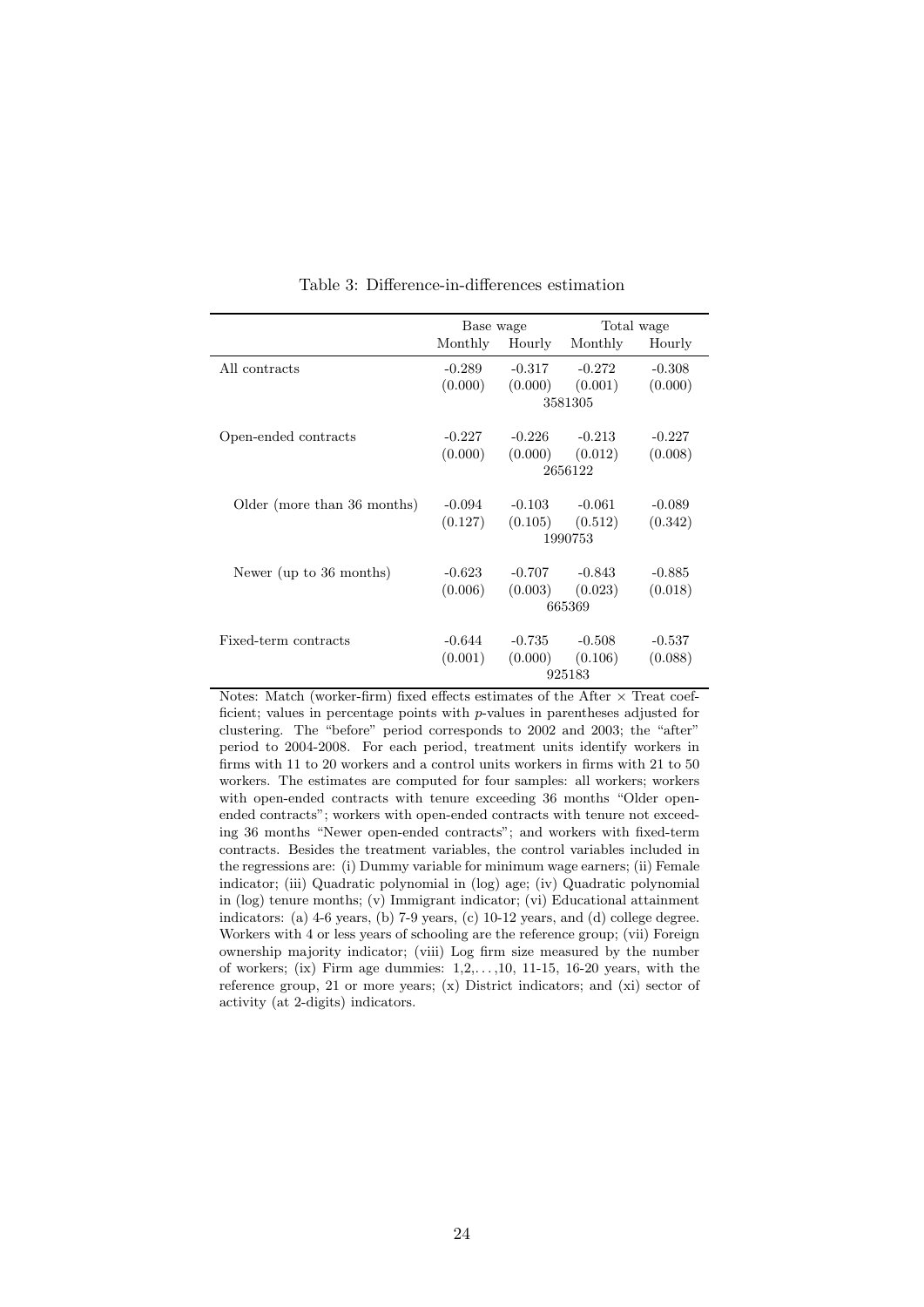<span id="page-25-0"></span>

|                             | Base wage |          |          | Total wage |
|-----------------------------|-----------|----------|----------|------------|
|                             | Monthly   | Hourly   | Monthly  | Hourly     |
| All contracts               | $-0.289$  | $-0.317$ | $-0.272$ | $-0.308$   |
|                             | (0.000)   | (0.000)  | (0.001)  | (0.000)    |
|                             |           |          | 3581305  |            |
| Open-ended contracts        | $-0.227$  | $-0.226$ | $-0.213$ | $-0.227$   |
|                             | (0.000)   | (0.000)  | (0.012)  | (0.008)    |
|                             |           |          | 2656122  |            |
| Older (more than 36 months) | $-0.094$  | $-0.103$ | $-0.061$ | $-0.089$   |
|                             | (0.127)   | (0.105)  | (0.512)  | (0.342)    |
|                             |           |          | 1990753  |            |
|                             |           |          |          |            |
| Newer (up to 36 months)     | $-0.623$  | $-0.707$ | $-0.843$ | $-0.885$   |
|                             | (0.006)   | (0.003)  | (0.023)  | (0.018)    |
|                             |           |          | 665369   |            |
| Fixed-term contracts        | $-0.644$  | $-0.735$ | $-0.508$ | $-0.537$   |
|                             | (0.001)   | (0.000)  | (0.106)  | (0.088)    |
|                             |           |          | 925183   |            |

Table 3: Difference-in-differences estimation

Notes: Match (worker-firm) fixed effects estimates of the After  $\times$  Treat coefficient; values in percentage points with p-values in parentheses adjusted for clustering. The "before" period corresponds to 2002 and 2003; the "after" period to 2004-2008. For each period, treatment units identify workers in firms with 11 to 20 workers and a control units workers in firms with 21 to 50 workers. The estimates are computed for four samples: all workers; workers with open-ended contracts with tenure exceeding 36 months "Older openended contracts"; workers with open-ended contracts with tenure not exceeding 36 months "Newer open-ended contracts"; and workers with fixed-term contracts. Besides the treatment variables, the control variables included in the regressions are: (i) Dummy variable for minimum wage earners; (ii) Female indicator; (iii) Quadratic polynomial in (log) age; (iv) Quadratic polynomial in (log) tenure months; (v) Immigrant indicator; (vi) Educational attainment indicators: (a) 4-6 years, (b) 7-9 years, (c) 10-12 years, and (d) college degree. Workers with 4 or less years of schooling are the reference group; (vii) Foreign ownership majority indicator; (viii) Log firm size measured by the number of workers; (ix) Firm age dummies:  $1, 2, \ldots, 10, 11$ -15, 16-20 years, with the reference group, 21 or more years; (x) District indicators; and (xi) sector of activity (at 2-digits) indicators.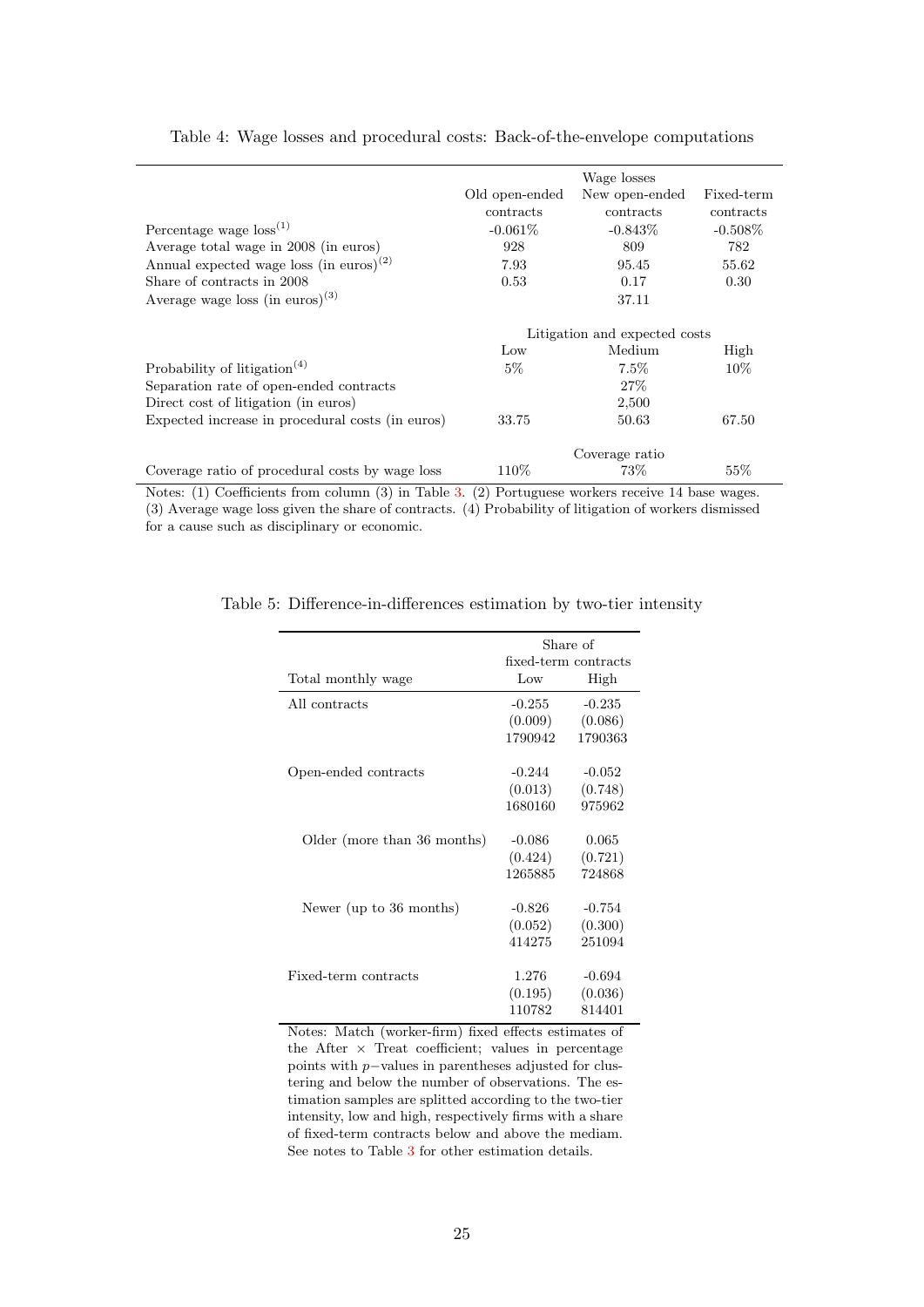<span id="page-26-0"></span>

|       |                                                              | Fixed-term                                                                                                                                                                                                |
|-------|--------------------------------------------------------------|-----------------------------------------------------------------------------------------------------------------------------------------------------------------------------------------------------------|
|       |                                                              |                                                                                                                                                                                                           |
|       |                                                              | contracts                                                                                                                                                                                                 |
|       |                                                              | $-0.508\%$                                                                                                                                                                                                |
| 928   | 809                                                          | 782                                                                                                                                                                                                       |
| 7.93  | 95.45                                                        | 55.62                                                                                                                                                                                                     |
| 0.53  | 0.17                                                         | 0.30                                                                                                                                                                                                      |
|       | 37.11                                                        |                                                                                                                                                                                                           |
|       |                                                              |                                                                                                                                                                                                           |
|       |                                                              |                                                                                                                                                                                                           |
|       |                                                              | High                                                                                                                                                                                                      |
| $5\%$ | $7.5\%$                                                      | $10\%$                                                                                                                                                                                                    |
|       | $27\%$                                                       |                                                                                                                                                                                                           |
|       | 2,500                                                        |                                                                                                                                                                                                           |
| 33.75 | 50.63                                                        | 67.50                                                                                                                                                                                                     |
|       |                                                              |                                                                                                                                                                                                           |
| 110\% | 73%                                                          | 55%                                                                                                                                                                                                       |
|       | Old open-ended<br>contracts<br>$-0.061\%$<br>$_{\text{Low}}$ | Wage losses<br>New open-ended<br>contracts<br>$-0.843\%$<br>Litigation and expected costs<br>Medium<br>Coverage ratio<br>$\langle 0 \rangle$ in the $\langle 0 \rangle$ D is<br>$\mathbf{L}$<br>$-1$ $-1$ |

# Table 4: Wage losses and procedural costs: Back-of-the-envelope computations

<span id="page-26-1"></span>Notes: (1) Coefficients from column (3) in Table [3.](#page-25-0) (2) Portuguese workers receive 14 base wages. (3) Average wage loss given the share of contracts. (4) Probability of litigation of workers dismissed for a cause such as disciplinary or economic.

|                             |          | Share of             |
|-----------------------------|----------|----------------------|
|                             |          | fixed-term contracts |
| Total monthly wage          | Low      | High                 |
| All contracts               | $-0.255$ | $-0.235$             |
|                             | (0.009)  | (0.086)              |
|                             | 1790942  | 1790363              |
| Open-ended contracts        | $-0.244$ | $-0.052$             |
|                             | (0.013)  | (0.748)              |
|                             | 1680160  | 975962               |
| Older (more than 36 months) | $-0.086$ | 0.065                |
|                             | (0.424)  | (0.721)              |
|                             | 1265885  | 724868               |
| Newer (up to 36 months)     | $-0.826$ | $-0.754$             |
|                             | (0.052)  | (0.300)              |
|                             | 414275   | 251094               |
| Fixed-term contracts        | 1.276    |                      |
|                             |          | $-0.694$             |
|                             | (0.195)  | (0.036)              |
|                             | 110782   | 814401               |

### Table 5: Difference-in-differences estimation by two-tier intensity

Notes: Match (worker-firm) fixed effects estimates of the After  $\times$  Treat coefficient; values in percentage points with p−values in parentheses adjusted for clustering and below the number of observations. The estimation samples are splitted according to the two-tier intensity, low and high, respectively firms with a share of fixed-term contracts below and above the mediam. See notes to Table [3](#page-25-0) for other estimation details.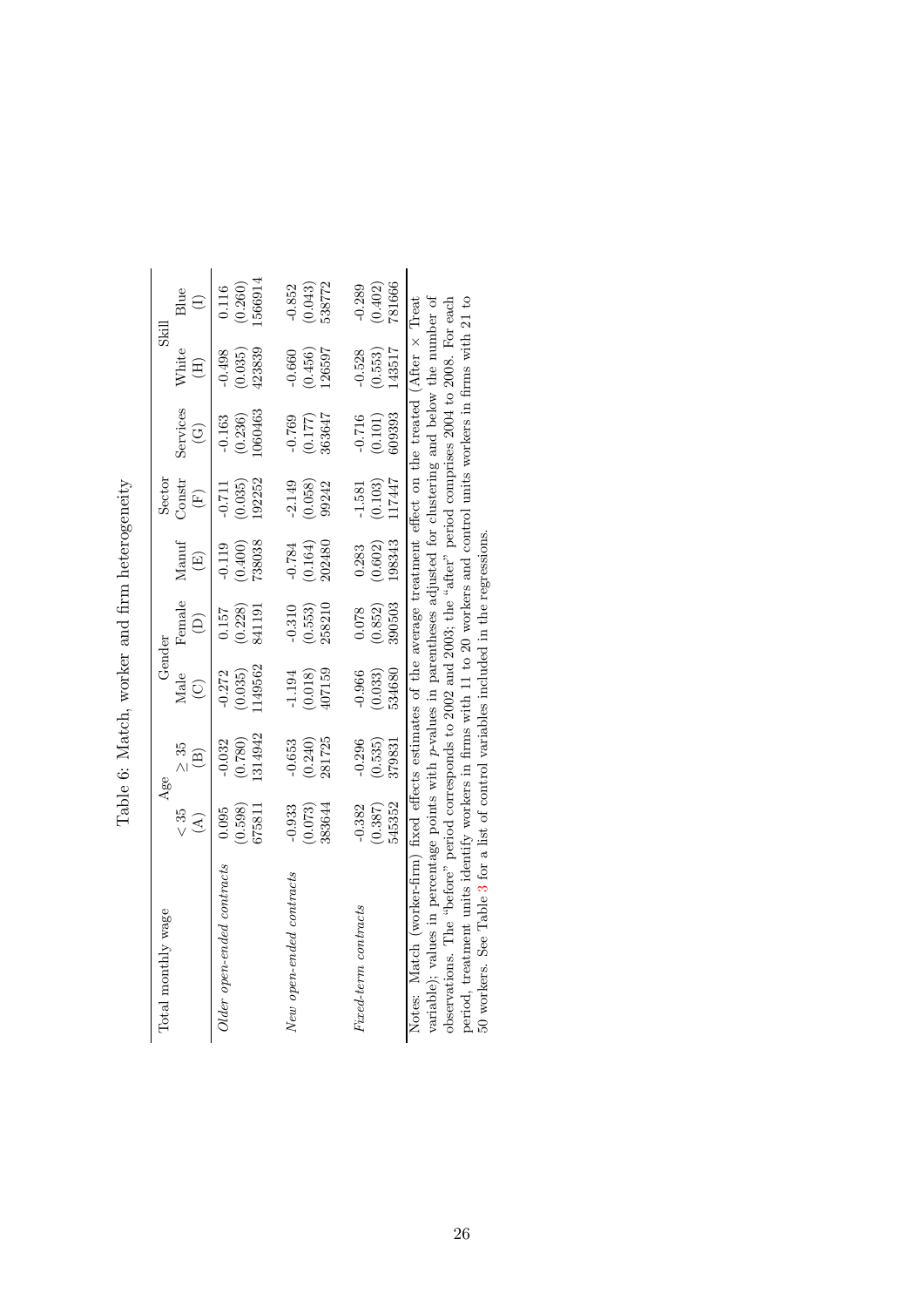<span id="page-27-0"></span>

| i<br>Í<br>י<br>י                                                                                                                                                                                                                                                                                                                                       |
|--------------------------------------------------------------------------------------------------------------------------------------------------------------------------------------------------------------------------------------------------------------------------------------------------------------------------------------------------------|
| $\begin{bmatrix} 1 & 0 & 0 \\ 0 & 0 & 0 \\ 0 & 0 & 0 \\ 0 & 0 & 0 \\ 0 & 0 & 0 \\ 0 & 0 & 0 \\ 0 & 0 & 0 & 0 \\ 0 & 0 & 0 & 0 \\ 0 & 0 & 0 & 0 \\ 0 & 0 & 0 & 0 & 0 \\ 0 & 0 & 0 & 0 & 0 \\ 0 & 0 & 0 & 0 & 0 \\ 0 & 0 & 0 & 0 & 0 & 0 \\ 0 & 0 & 0 & 0 & 0 & 0 \\ 0 & 0 & 0 & 0 & 0 & 0 & 0 \\ 0 & 0 & 0 & 0 & 0 & 0 & 0 \\ $<br>1<br>ׇ֘֝֬֕<br>֠<br>¢ |
| $\sim$<br>ļ                                                                                                                                                                                                                                                                                                                                            |
| $-2.3$<br>ı<br>ׇ֚֘֡                                                                                                                                                                                                                                                                                                                                    |
| ׇ֚<br>$\frac{1}{2}$<br>ł                                                                                                                                                                                                                                                                                                                               |
| ś                                                                                                                                                                                                                                                                                                                                                      |
| $\frac{1}{2}$<br>ł<br>j<br>ĺ                                                                                                                                                                                                                                                                                                                           |

| Total monthly wage                                                                                                                                                                                                                                                                                                                                                                                                                                                                                                                                                              |                                           | Age                            | Gender                         |                               |                               | Sector                        |                                    | Skill                         |                               |
|---------------------------------------------------------------------------------------------------------------------------------------------------------------------------------------------------------------------------------------------------------------------------------------------------------------------------------------------------------------------------------------------------------------------------------------------------------------------------------------------------------------------------------------------------------------------------------|-------------------------------------------|--------------------------------|--------------------------------|-------------------------------|-------------------------------|-------------------------------|------------------------------------|-------------------------------|-------------------------------|
|                                                                                                                                                                                                                                                                                                                                                                                                                                                                                                                                                                                 | $\frac{35}{5}$<br>$\widehat{\mathcal{A}}$ | $\geq 35$<br>$\widehat{\Xi}$   | Male<br>$\widehat{\odot}$      | Female<br>ê                   | Manuf<br>$\widehat{\Xi}$      | Constr<br>$\widehat{F}$       | Services<br>$\widehat{\mathbb{C}}$ | White<br>E                    | Blue                          |
| Older open-ended contracts                                                                                                                                                                                                                                                                                                                                                                                                                                                                                                                                                      | (0.598)<br>675811<br>0.095                | 1314942<br>(0.780)<br>$-0.032$ | 1149562<br>(0.035)<br>$-0.272$ | 841191<br>(0.228)<br>157      | 738038<br>(0.400)<br>$-0.119$ | 192252<br>(0.035)<br>$-0.711$ | 1060463<br>(0.236)<br>$-0.163$     | 423839<br>$-0.498$<br>(0.035) | 1566914<br>0.260)             |
| New open-ended contracts                                                                                                                                                                                                                                                                                                                                                                                                                                                                                                                                                        | $-0.933$<br>(0.073)<br>383644             | $-0.653$<br>281725<br>(0.240)  | 407159<br>$-1.194$<br>(0.018)  | 258210<br>$-0.310$<br>(0.553) | $-0.784$<br>(0.164)<br>202480 | $-2.149$<br>(0.058)<br>99242  | $-0.769$<br>363647<br>(0.177)      | 126597<br>(0.456)<br>$-0.660$ | 538772<br>$-0.852$<br>(0.043) |
| Fixed-term contracts                                                                                                                                                                                                                                                                                                                                                                                                                                                                                                                                                            | 545352<br>$-0.382$<br>(0.387)             | $-0.296$<br>(0.535)<br>379831  | $-0.966$<br>534680<br>(0.033)  | 390503<br>(0.852)<br>0.078    | 198343<br>(0.602)<br>0.283    | 117447<br>(0.103)<br>$-1.581$ | 109393<br>$-0.716$<br>(0.101)      | 43517<br>$-0.528$<br>(0.553)  | 781666<br>$-0.289$<br>(0.402) |
| variable); values in percentage points with p-values in parentheses adjusted for clustering and below the number of<br>period, treatment units identify workers in firms with 11 to 20 workers and control units workers in firms with 21 to<br>observations. The "before" period corresponds to 2002 and 2003; the "after" period comprises 2004 to 2008. For each<br>Notes: Match (worker-firm) fixed effects estimates of the average treatment effect on the treated (After x Treat<br>50 workers. See Table 3 for a list of control variables included in the regressions. |                                           |                                |                                |                               |                               |                               |                                    |                               |                               |

50 workers. See Table [3](#page-25-0) for a list of control variables included in the regressions.